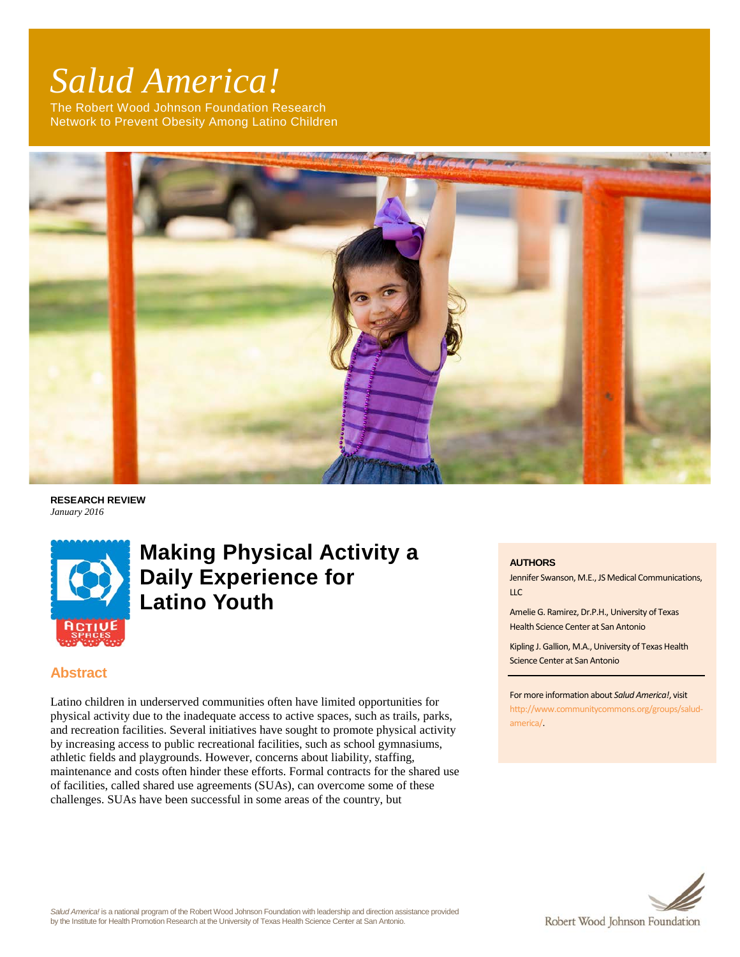# *Salud America!*

The Robert Wood Johnson Foundation Research Network to Prevent Obesity Among Latino Children



**RESEARCH REVIEW** *January 2016*



# **Making Physical Activity a Daily Experience for Latino Youth**

# **Abstract**

Latino children in underserved communities often have limited opportunities for physical activity due to the inadequate access to active spaces, such as trails, parks, and recreation facilities. Several initiatives have sought to promote physical activity by increasing access to public recreational facilities, such as school gymnasiums, athletic fields and playgrounds. However, concerns about liability, staffing, maintenance and costs often hinder these efforts. Formal contracts for the shared use of facilities, called shared use agreements (SUAs), can overcome some of these challenges. SUAs have been successful in some areas of the country, but

#### **AUTHORS**

Jennifer Swanson, M.E., JS Medical Communications, LLC

Amelie G. Ramirez, Dr.P.H., University of Texas Health Science Center at San Antonio

Kipling J. Gallion, M.A., University of Texas Health Science Center at San Antonio

#### For more information about *Salud America!*, visit

[http://www.communitycommons.org/groups/salud](http://www.communitycommons.org/groups/salud-america/)[america/.](http://www.communitycommons.org/groups/salud-america/)

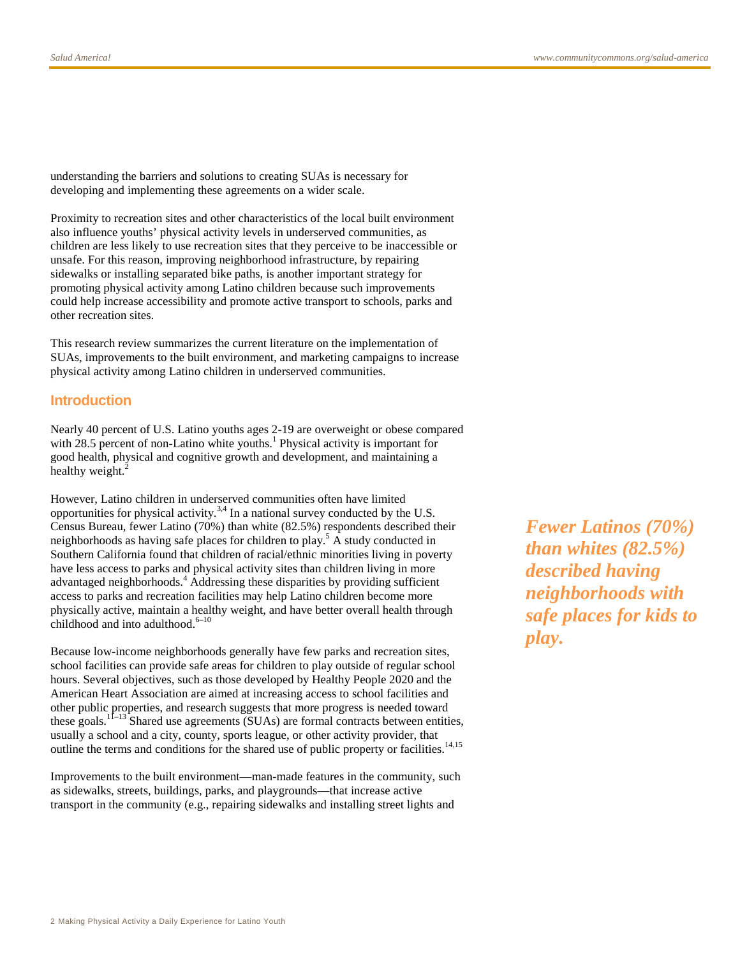understanding the barriers and solutions to creating SUAs is necessary for developing and implementing these agreements on a wider scale.

Proximity to recreation sites and other characteristics of the local built environment also influence youths' physical activity levels in underserved communities, as children are less likely to use recreation sites that they perceive to be inaccessible or unsafe. For this reason, improving neighborhood infrastructure, by repairing sidewalks or installing separated bike paths, is another important strategy for promoting physical activity among Latino children because such improvements could help increase accessibility and promote active transport to schools, parks and other recreation sites.

This research review summarizes the current literature on the implementation of SUAs, improvements to the built environment, and marketing campaigns to increase physical activity among Latino children in underserved communities.

#### **Introduction**

Nearly 40 percent of U.S. Latino youths ages 2-19 are overweight or obese compared with 28.5 percent of non-Latino white youths.<sup>1</sup> Physical activity is important for good health, physical and cognitive growth and development, and maintaining a healthy weight.<sup>2</sup>

However, Latino children in underserved communities often have limited opportunities for physical activity.<sup>3,4</sup> In a national survey conducted by the U.S. Census Bureau, fewer Latino (70%) than white (82.5%) respondents described their neighborhoods as having safe places for children to play.<sup>5</sup> A study conducted in Southern California found that children of racial/ethnic minorities living in poverty have less access to parks and physical activity sites than children living in more advantaged neighborhoods.<sup>4</sup> Addressing these disparities by providing sufficient access to parks and recreation facilities may help Latino children become more physically active, maintain a healthy weight, and have better overall health through childhood and into adulthood. $6-10$ 

Because low-income neighborhoods generally have few parks and recreation sites, school facilities can provide safe areas for children to play outside of regular school hours. Several objectives, such as those developed by Healthy People 2020 and the American Heart Association are aimed at increasing access to school facilities and other public properties, and research suggests that more progress is needed toward these goals.<sup>11–13</sup> Shared use agreements (SUAs) are formal contracts between entities, usually a school and a city, county, sports league, or other activity provider, that outline the terms and conditions for the shared use of public property or facilities.<sup>14,15</sup>

Improvements to the built environment—man-made features in the community, such as sidewalks, streets, buildings, parks, and playgrounds—that increase active transport in the community (e.g., repairing sidewalks and installing street lights and

*Fewer Latinos (70%) than whites (82.5%) described having neighborhoods with safe places for kids to play.*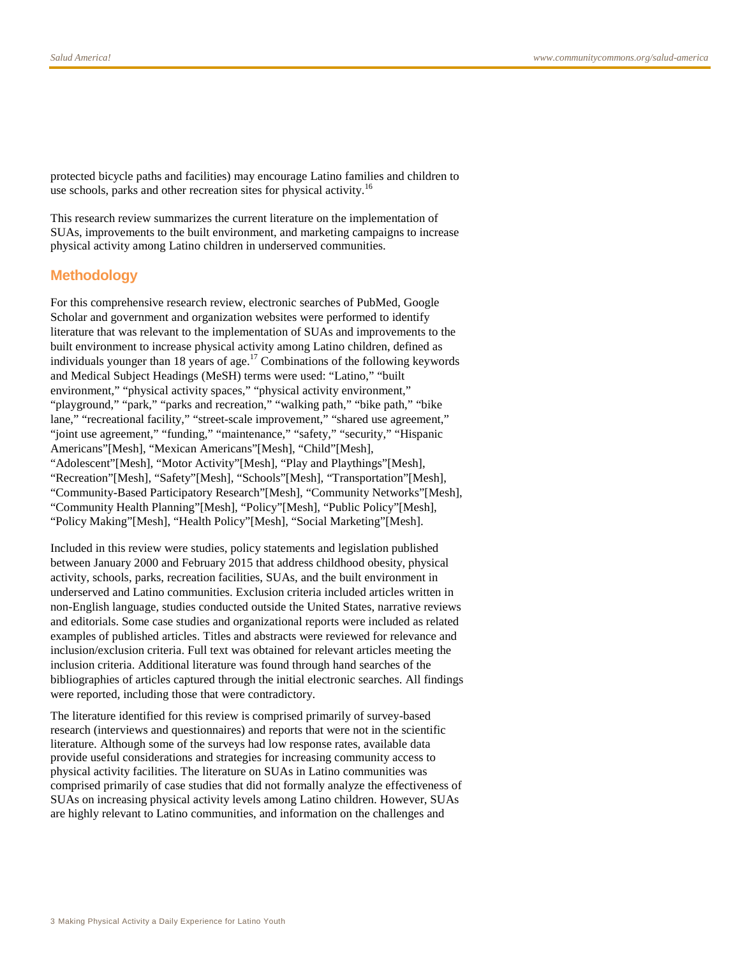protected bicycle paths and facilities) may encourage Latino families and children to use schools, parks and other recreation sites for physical activity.<sup>16</sup>

This research review summarizes the current literature on the implementation of SUAs, improvements to the built environment, and marketing campaigns to increase physical activity among Latino children in underserved communities.

#### **Methodology**

For this comprehensive research review, electronic searches of PubMed, Google Scholar and government and organization websites were performed to identify literature that was relevant to the implementation of SUAs and improvements to the built environment to increase physical activity among Latino children, defined as individuals younger than 18 years of age.<sup>17</sup> Combinations of the following keywords and Medical Subject Headings (MeSH) terms were used: "Latino," "built environment," "physical activity spaces," "physical activity environment," "playground," "park," "parks and recreation," "walking path," "bike path," "bike lane," "recreational facility," "street-scale improvement," "shared use agreement," "joint use agreement," "funding," "maintenance," "safety," "security," "Hispanic Americans"[Mesh], "Mexican Americans"[Mesh], "Child"[Mesh], "Adolescent"[Mesh], "Motor Activity"[Mesh], "Play and Playthings"[Mesh], "Recreation"[Mesh], "Safety"[Mesh], "Schools"[Mesh], "Transportation"[Mesh], "Community-Based Participatory Research"[Mesh], "Community Networks"[Mesh], "Community Health Planning"[Mesh], "Policy"[Mesh], "Public Policy"[Mesh], "Policy Making"[Mesh], "Health Policy"[Mesh], "Social Marketing"[Mesh].

Included in this review were studies, policy statements and legislation published between January 2000 and February 2015 that address childhood obesity, physical activity, schools, parks, recreation facilities, SUAs, and the built environment in underserved and Latino communities. Exclusion criteria included articles written in non-English language, studies conducted outside the United States, narrative reviews and editorials. Some case studies and organizational reports were included as related examples of published articles. Titles and abstracts were reviewed for relevance and inclusion/exclusion criteria. Full text was obtained for relevant articles meeting the inclusion criteria. Additional literature was found through hand searches of the bibliographies of articles captured through the initial electronic searches. All findings were reported, including those that were contradictory.

The literature identified for this review is comprised primarily of survey-based research (interviews and questionnaires) and reports that were not in the scientific literature. Although some of the surveys had low response rates, available data provide useful considerations and strategies for increasing community access to physical activity facilities. The literature on SUAs in Latino communities was comprised primarily of case studies that did not formally analyze the effectiveness of SUAs on increasing physical activity levels among Latino children. However, SUAs are highly relevant to Latino communities, and information on the challenges and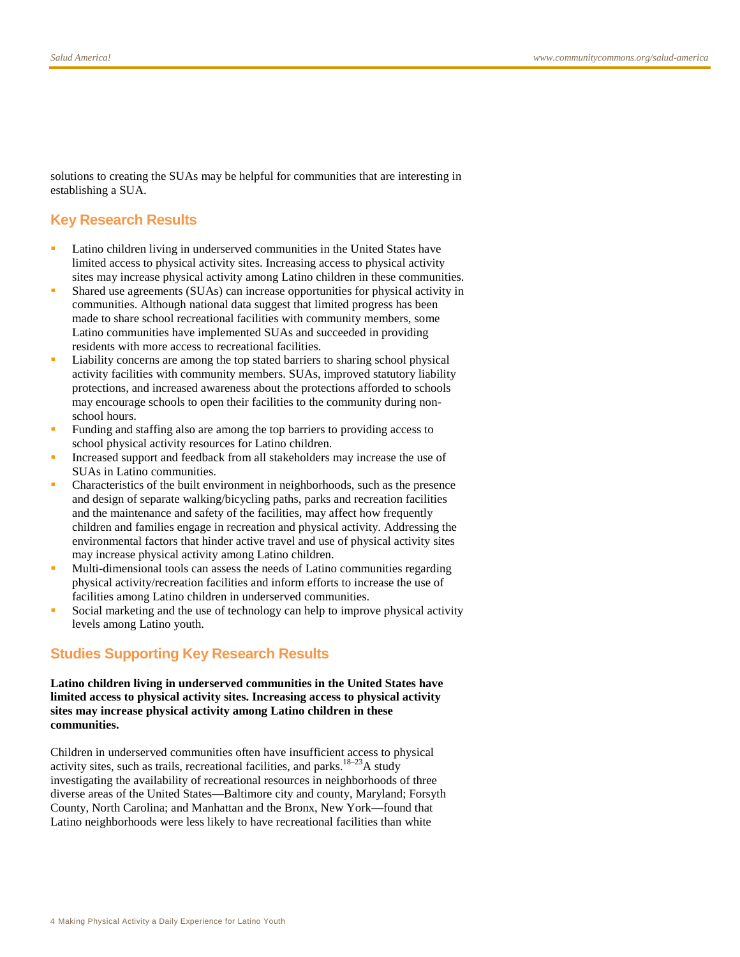solutions to creating the SUAs may be helpful for communities that are interesting in establishing a SUA.

# **Key Research Results**

- Latino children living in underserved communities in the United States have limited access to physical activity sites. Increasing access to physical activity sites may increase physical activity among Latino children in these communities.
- Shared use agreements (SUAs) can increase opportunities for physical activity in communities. Although national data suggest that limited progress has been made to share school recreational facilities with community members, some Latino communities have implemented SUAs and succeeded in providing residents with more access to recreational facilities.
- Liability concerns are among the top stated barriers to sharing school physical activity facilities with community members. SUAs, improved statutory liability protections, and increased awareness about the protections afforded to schools may encourage schools to open their facilities to the community during nonschool hours.
- Funding and staffing also are among the top barriers to providing access to school physical activity resources for Latino children.
- Increased support and feedback from all stakeholders may increase the use of SUAs in Latino communities.
- Characteristics of the built environment in neighborhoods, such as the presence and design of separate walking/bicycling paths, parks and recreation facilities and the maintenance and safety of the facilities, may affect how frequently children and families engage in recreation and physical activity. Addressing the environmental factors that hinder active travel and use of physical activity sites may increase physical activity among Latino children.
- Multi-dimensional tools can assess the needs of Latino communities regarding physical activity/recreation facilities and inform efforts to increase the use of facilities among Latino children in underserved communities.
- Social marketing and the use of technology can help to improve physical activity levels among Latino youth.

# **Studies Supporting Key Research Results**

**Latino children living in underserved communities in the United States have limited access to physical activity sites. Increasing access to physical activity sites may increase physical activity among Latino children in these communities.**

Children in underserved communities often have insufficient access to physical activity sites, such as trails, recreational facilities, and parks.<sup>18–23</sup>A study investigating the availability of recreational resources in neighborhoods of three diverse areas of the United States—Baltimore city and county, Maryland; Forsyth County, North Carolina; and Manhattan and the Bronx, New York—found that Latino neighborhoods were less likely to have recreational facilities than white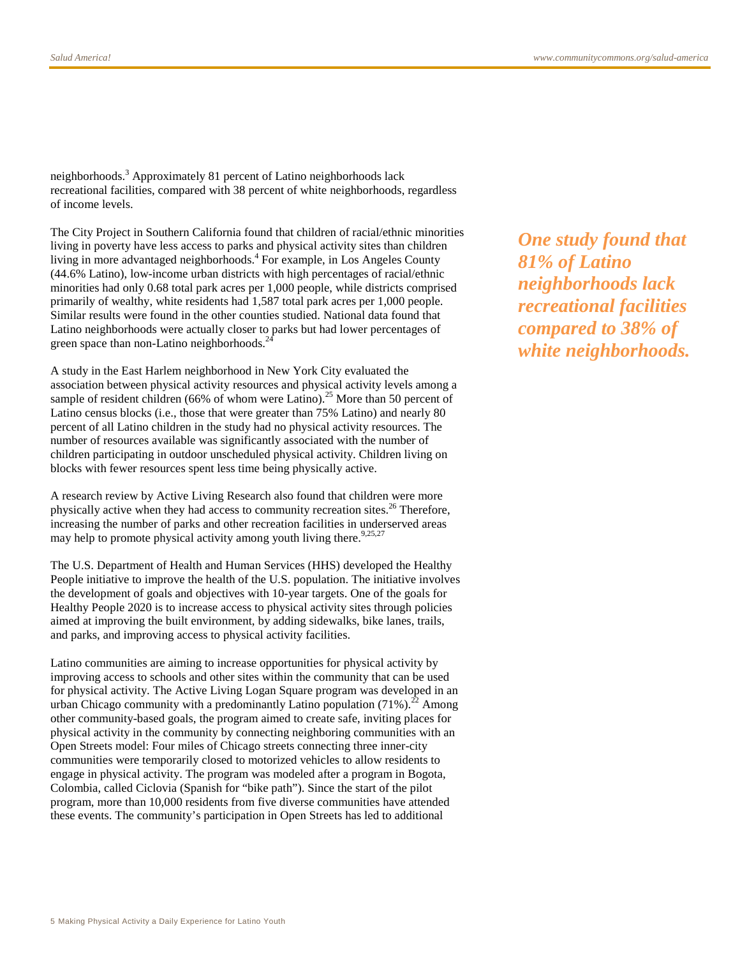neighborhoods.<sup>3</sup> Approximately 81 percent of Latino neighborhoods lack recreational facilities, compared with 38 percent of white neighborhoods, regardless of income levels.

The City Project in Southern California found that children of racial/ethnic minorities living in poverty have less access to parks and physical activity sites than children living in more advantaged neighborhoods.<sup>4</sup> For example, in Los Angeles County (44.6% Latino), low-income urban districts with high percentages of racial/ethnic minorities had only 0.68 total park acres per 1,000 people, while districts comprised primarily of wealthy, white residents had 1,587 total park acres per 1,000 people. Similar results were found in the other counties studied. National data found that Latino neighborhoods were actually closer to parks but had lower percentages of green space than non-Latino neighborhoods.<sup>2</sup>

A study in the East Harlem neighborhood in New York City evaluated the association between physical activity resources and physical activity levels among a sample of resident children (66% of whom were Latino).<sup>25</sup> More than 50 percent of Latino census blocks (i.e., those that were greater than 75% Latino) and nearly 80 percent of all Latino children in the study had no physical activity resources. The number of resources available was significantly associated with the number of children participating in outdoor unscheduled physical activity. Children living on blocks with fewer resources spent less time being physically active.

A research review by Active Living Research also found that children were more physically active when they had access to community recreation sites.<sup>26</sup> Therefore, increasing the number of parks and other recreation facilities in underserved areas may help to promote physical activity among youth living there.<sup>9,25,27</sup>

The U.S. Department of Health and Human Services (HHS) developed the Healthy People initiative to improve the health of the U.S. population. The initiative involves the development of goals and objectives with 10-year targets. One of the goals for Healthy People 2020 is to increase access to physical activity sites through policies aimed at improving the built environment, by adding sidewalks, bike lanes, trails, and parks, and improving access to physical activity facilities.

Latino communities are aiming to increase opportunities for physical activity by improving access to schools and other sites within the community that can be used for physical activity. The Active Living Logan Square program was developed in an urban Chicago community with a predominantly Latino population  $(71\%)$ <sup>22</sup> Among other community-based goals, the program aimed to create safe, inviting places for physical activity in the community by connecting neighboring communities with an Open Streets model: Four miles of Chicago streets connecting three inner-city communities were temporarily closed to motorized vehicles to allow residents to engage in physical activity. The program was modeled after a program in Bogota, Colombia, called Ciclovia (Spanish for "bike path"). Since the start of the pilot program, more than 10,000 residents from five diverse communities have attended these events. The community's participation in Open Streets has led to additional

*One study found that 81% of Latino neighborhoods lack recreational facilities compared to 38% of white neighborhoods.*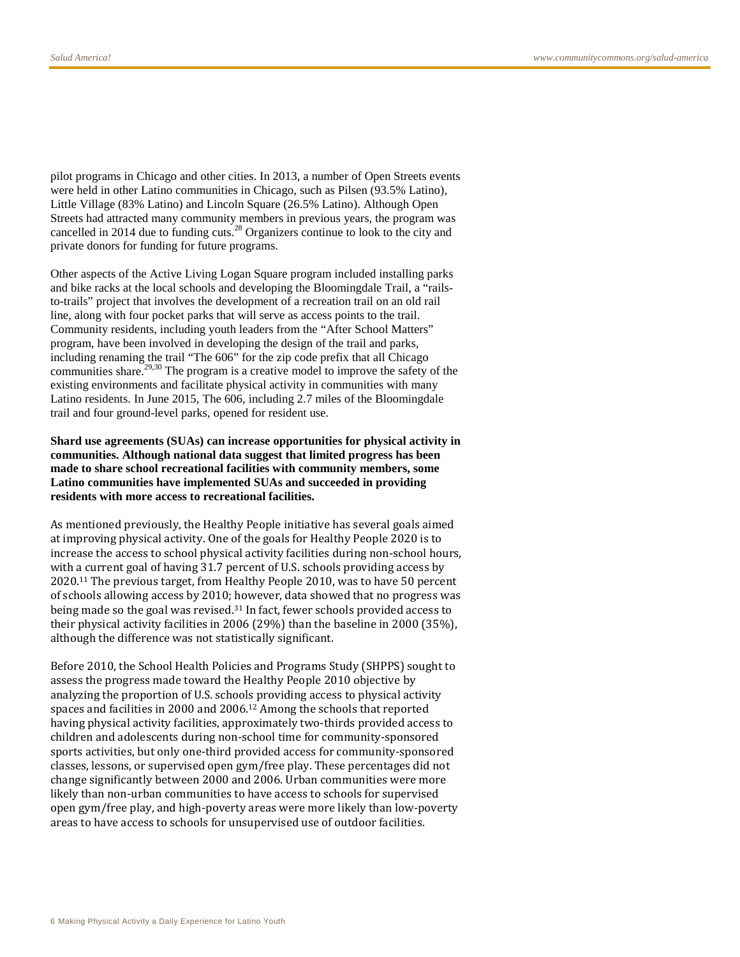pilot programs in Chicago and other cities. In 2013, a number of Open Streets events were held in other Latino communities in Chicago, such as Pilsen (93.5% Latino), Little Village (83% Latino) and Lincoln Square (26.5% Latino). Although Open Streets had attracted many community members in previous years, the program was cancelled in 2014 due to funding cuts.<sup>28</sup> Organizers continue to look to the city and private donors for funding for future programs.

Other aspects of the Active Living Logan Square program included installing parks and bike racks at the local schools and developing the Bloomingdale Trail, a "railsto-trails" project that involves the development of a recreation trail on an old rail line, along with four pocket parks that will serve as access points to the trail. Community residents, including youth leaders from the "After School Matters" program, have been involved in developing the design of the trail and parks, including renaming the trail "The 606" for the zip code prefix that all Chicago communities share.<sup>29,30</sup> The program is a creative model to improve the safety of the existing environments and facilitate physical activity in communities with many Latino residents. In June 2015, The 606, including 2.7 miles of the Bloomingdale trail and four ground-level parks, opened for resident use.

#### **Shard use agreements (SUAs) can increase opportunities for physical activity in communities. Although national data suggest that limited progress has been made to share school recreational facilities with community members, some Latino communities have implemented SUAs and succeeded in providing residents with more access to recreational facilities.**

As mentioned previously, the Healthy People initiative has several goals aimed at improving physical activity. One of the goals for Healthy People 2020 is to increase the access to school physical activity facilities during non-school hours, with a current goal of having 31.7 percent of U.S. schools providing access by 2020.11 The previous target, from Healthy People 2010, was to have 50 percent of schools allowing access by 2010; however, data showed that no progress was being made so the goal was revised.31 In fact, fewer schools provided access to their physical activity facilities in 2006 (29%) than the baseline in 2000 (35%), although the difference was not statistically significant.

Before 2010, the School Health Policies and Programs Study (SHPPS) sought to assess the progress made toward the Healthy People 2010 objective by analyzing the proportion of U.S. schools providing access to physical activity spaces and facilities in 2000 and 2006.12 Among the schools that reported having physical activity facilities, approximately two-thirds provided access to children and adolescents during non-school time for community-sponsored sports activities, but only one-third provided access for community-sponsored classes, lessons, or supervised open gym/free play. These percentages did not change significantly between 2000 and 2006. Urban communities were more likely than non-urban communities to have access to schools for supervised open gym/free play, and high-poverty areas were more likely than low-poverty areas to have access to schools for unsupervised use of outdoor facilities.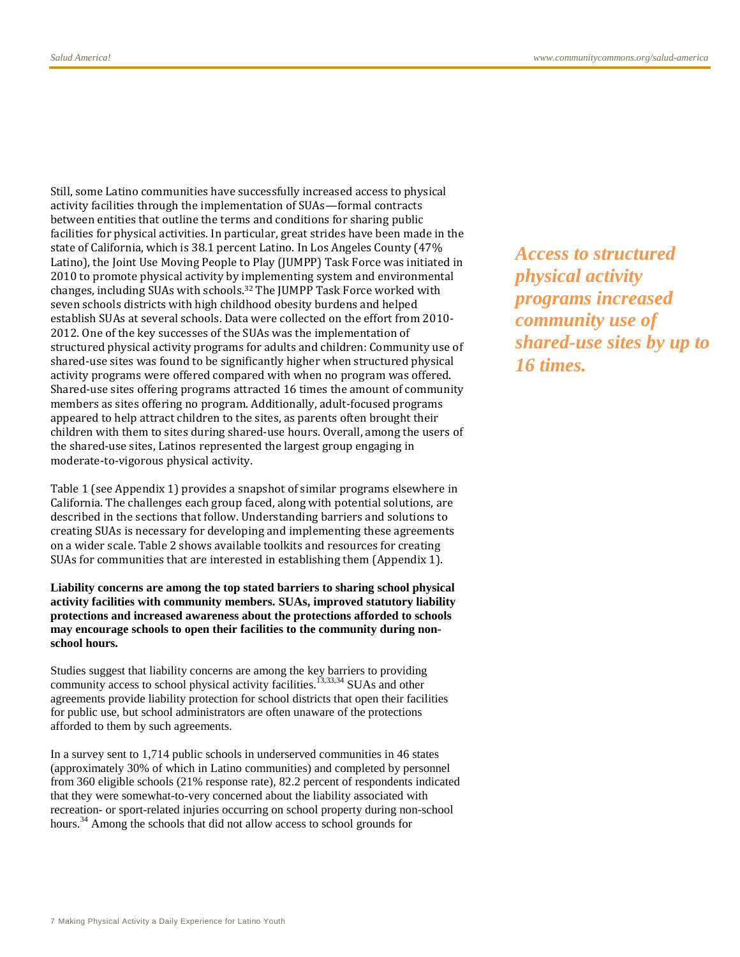Still, some Latino communities have successfully increased access to physical activity facilities through the implementation of SUAs—formal contracts between entities that outline the terms and conditions for sharing public facilities for physical activities. In particular, great strides have been made in the state of California, which is 38.1 percent Latino. In Los Angeles County (47% Latino), the Joint Use Moving People to Play (JUMPP) Task Force was initiated in 2010 to promote physical activity by implementing system and environmental changes, including SUAs with schools.32 The JUMPP Task Force worked with seven schools districts with high childhood obesity burdens and helped establish SUAs at several schools. Data were collected on the effort from 2010- 2012. One of the key successes of the SUAs was the implementation of structured physical activity programs for adults and children: Community use of shared-use sites was found to be significantly higher when structured physical activity programs were offered compared with when no program was offered. Shared-use sites offering programs attracted 16 times the amount of community members as sites offering no program. Additionally, adult-focused programs appeared to help attract children to the sites, as parents often brought their children with them to sites during shared-use hours. Overall, among the users of the shared-use sites, Latinos represented the largest group engaging in moderate-to-vigorous physical activity.

Table 1 (see Appendix 1) provides a snapshot of similar programs elsewhere in California. The challenges each group faced, along with potential solutions, are described in the sections that follow. Understanding barriers and solutions to creating SUAs is necessary for developing and implementing these agreements on a wider scale. Table 2 shows available toolkits and resources for creating SUAs for communities that are interested in establishing them (Appendix 1).

**Liability concerns are among the top stated barriers to sharing school physical activity facilities with community members. SUAs, improved statutory liability protections and increased awareness about the protections afforded to schools may encourage schools to open their facilities to the community during nonschool hours.** 

Studies suggest that liability concerns are among the key barriers to providing community access to school physical activity facilities.<sup>13,33,34</sup> SUAs and other agreements provide liability protection for school districts that open their facilities for public use, but school administrators are often unaware of the protections afforded to them by such agreements.

In a survey sent to 1,714 public schools in underserved communities in 46 states (approximately 30% of which in Latino communities) and completed by personnel from 360 eligible schools (21% response rate), 82.2 percent of respondents indicated that they were somewhat-to-very concerned about the liability associated with recreation- or sport-related injuries occurring on school property during non-school hours.<sup>34</sup> Among the schools that did not allow access to school grounds for

*Access to structured physical activity programs increased community use of shared-use sites by up to 16 times.*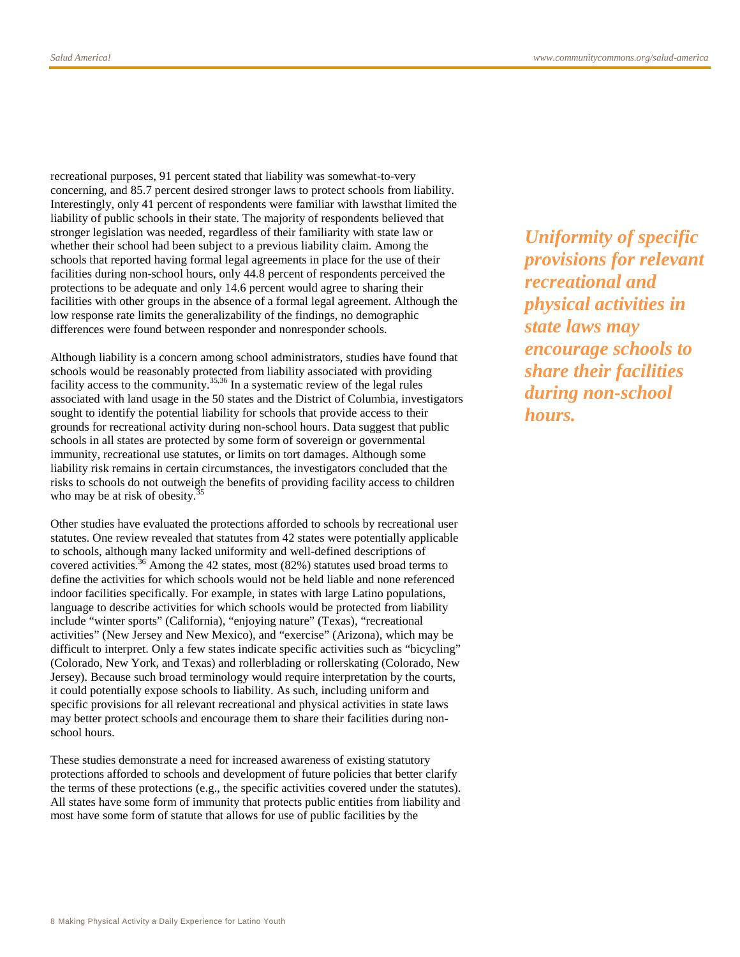recreational purposes, 91 percent stated that liability was somewhat-to-very concerning, and 85.7 percent desired stronger laws to protect schools from liability. Interestingly, only 41 percent of respondents were familiar with lawsthat limited the liability of public schools in their state. The majority of respondents believed that stronger legislation was needed, regardless of their familiarity with state law or whether their school had been subject to a previous liability claim. Among the schools that reported having formal legal agreements in place for the use of their facilities during non-school hours, only 44.8 percent of respondents perceived the protections to be adequate and only 14.6 percent would agree to sharing their facilities with other groups in the absence of a formal legal agreement. Although the low response rate limits the generalizability of the findings, no demographic differences were found between responder and nonresponder schools.

Although liability is a concern among school administrators, studies have found that schools would be reasonably protected from liability associated with providing facility access to the community.<sup>35,36</sup> In a systematic review of the legal rules associated with land usage in the 50 states and the District of Columbia, investigators sought to identify the potential liability for schools that provide access to their grounds for recreational activity during non-school hours. Data suggest that public schools in all states are protected by some form of sovereign or governmental immunity, recreational use statutes, or limits on tort damages. Although some liability risk remains in certain circumstances, the investigators concluded that the risks to schools do not outweigh the benefits of providing facility access to children who may be at risk of obesity.<sup>3</sup>

Other studies have evaluated the protections afforded to schools by recreational user statutes. One review revealed that statutes from 42 states were potentially applicable to schools, although many lacked uniformity and well-defined descriptions of covered activities.<sup>36</sup> Among the 42 states, most (82%) statutes used broad terms to define the activities for which schools would not be held liable and none referenced indoor facilities specifically. For example, in states with large Latino populations, language to describe activities for which schools would be protected from liability include "winter sports" (California), "enjoying nature" (Texas), "recreational activities" (New Jersey and New Mexico), and "exercise" (Arizona), which may be difficult to interpret. Only a few states indicate specific activities such as "bicycling" (Colorado, New York, and Texas) and rollerblading or rollerskating (Colorado, New Jersey). Because such broad terminology would require interpretation by the courts, it could potentially expose schools to liability. As such, including uniform and specific provisions for all relevant recreational and physical activities in state laws may better protect schools and encourage them to share their facilities during nonschool hours.

These studies demonstrate a need for increased awareness of existing statutory protections afforded to schools and development of future policies that better clarify the terms of these protections (e.g., the specific activities covered under the statutes). All states have some form of immunity that protects public entities from liability and most have some form of statute that allows for use of public facilities by the

*Uniformity of specific provisions for relevant recreational and physical activities in state laws may encourage schools to share their facilities during non-school hours.*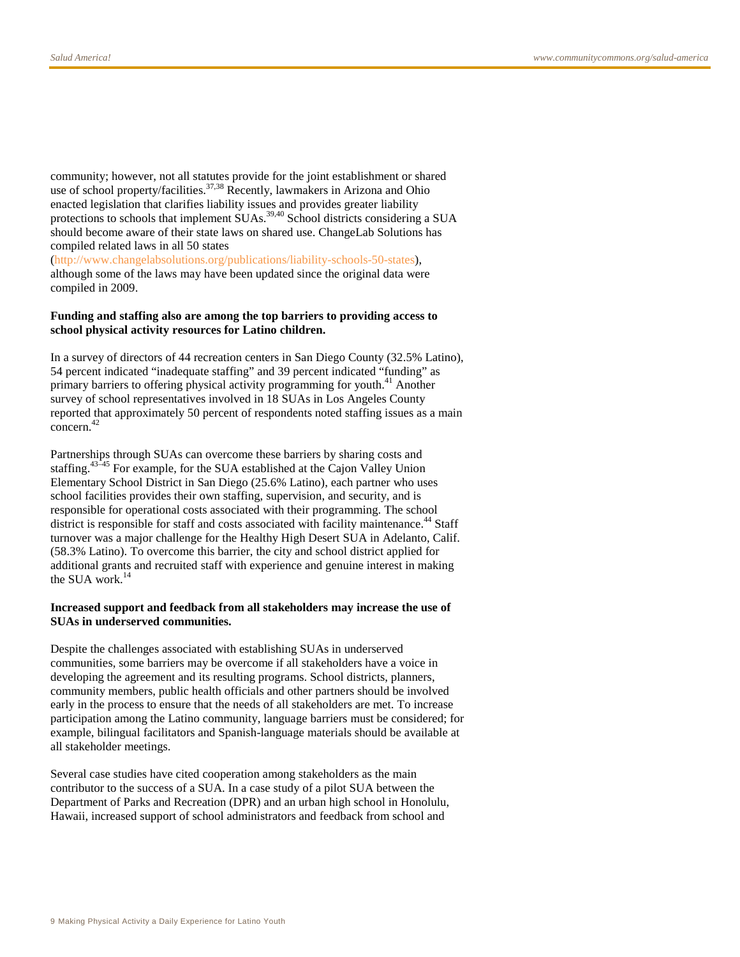community; however, not all statutes provide for the joint establishment or shared use of school property/facilities.<sup>37,38</sup> Recently, lawmakers in Arizona and Ohio enacted legislation that clarifies liability issues and provides greater liability protections to schools that implement SUAs.<sup>39,40</sup> School districts considering a SUA should become aware of their state laws on shared use. ChangeLab Solutions has compiled related laws in all 50 states

[\(http://www.changelabsolutions.org/publications/liability-schools-50-states\)](http://www.changelabsolutions.org/publications/liability-schools-50-states), although some of the laws may have been updated since the original data were compiled in 2009.

#### **Funding and staffing also are among the top barriers to providing access to school physical activity resources for Latino children.**

In a survey of directors of 44 recreation centers in San Diego County (32.5% Latino), 54 percent indicated "inadequate staffing" and 39 percent indicated "funding" as primary barriers to offering physical activity programming for youth.<sup>41</sup> Another survey of school representatives involved in 18 SUAs in Los Angeles County reported that approximately 50 percent of respondents noted staffing issues as a main concern.<sup>42</sup>

Partnerships through SUAs can overcome these barriers by sharing costs and staffing.43–45 For example, for the SUA established at the Cajon Valley Union Elementary School District in San Diego (25.6% Latino), each partner who uses school facilities provides their own staffing, supervision, and security, and is responsible for operational costs associated with their programming. The school district is responsible for staff and costs associated with facility maintenance.<sup>44</sup> Staff turnover was a major challenge for the Healthy High Desert SUA in Adelanto, Calif. (58.3% Latino). To overcome this barrier, the city and school district applied for additional grants and recruited staff with experience and genuine interest in making the SUA work.<sup>14</sup>

#### **Increased support and feedback from all stakeholders may increase the use of SUAs in underserved communities.**

Despite the challenges associated with establishing SUAs in underserved communities, some barriers may be overcome if all stakeholders have a voice in developing the agreement and its resulting programs. School districts, planners, community members, public health officials and other partners should be involved early in the process to ensure that the needs of all stakeholders are met. To increase participation among the Latino community, language barriers must be considered; for example, bilingual facilitators and Spanish-language materials should be available at all stakeholder meetings.

Several case studies have cited cooperation among stakeholders as the main contributor to the success of a SUA. In a case study of a pilot SUA between the Department of Parks and Recreation (DPR) and an urban high school in Honolulu, Hawaii, increased support of school administrators and feedback from school and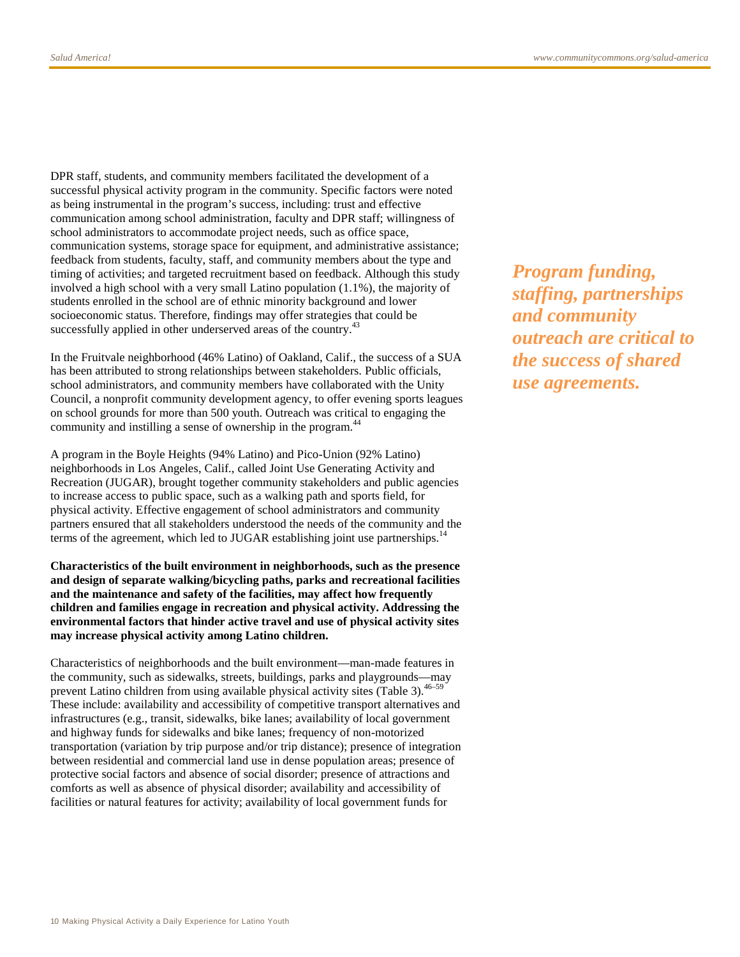DPR staff, students, and community members facilitated the development of a successful physical activity program in the community. Specific factors were noted as being instrumental in the program's success, including: trust and effective communication among school administration, faculty and DPR staff; willingness of school administrators to accommodate project needs, such as office space, communication systems, storage space for equipment, and administrative assistance; feedback from students, faculty, staff, and community members about the type and timing of activities; and targeted recruitment based on feedback. Although this study involved a high school with a very small Latino population (1.1%), the majority of students enrolled in the school are of ethnic minority background and lower socioeconomic status. Therefore, findings may offer strategies that could be successfully applied in other underserved areas of the country.<sup>43</sup>

In the Fruitvale neighborhood (46% Latino) of Oakland, Calif., the success of a SUA has been attributed to strong relationships between stakeholders. Public officials, school administrators, and community members have collaborated with the Unity Council, a nonprofit community development agency, to offer evening sports leagues on school grounds for more than 500 youth. Outreach was critical to engaging the community and instilling a sense of ownership in the program.<sup>44</sup>

A program in the Boyle Heights (94% Latino) and Pico-Union (92% Latino) neighborhoods in Los Angeles, Calif., called Joint Use Generating Activity and Recreation (JUGAR), brought together community stakeholders and public agencies to increase access to public space, such as a walking path and sports field, for physical activity. Effective engagement of school administrators and community partners ensured that all stakeholders understood the needs of the community and the terms of the agreement, which led to JUGAR establishing joint use partnerships.<sup>14</sup>

**Characteristics of the built environment in neighborhoods, such as the presence and design of separate walking/bicycling paths, parks and recreational facilities and the maintenance and safety of the facilities, may affect how frequently children and families engage in recreation and physical activity. Addressing the environmental factors that hinder active travel and use of physical activity sites may increase physical activity among Latino children.**

Characteristics of neighborhoods and the built environment—man-made features in the community, such as sidewalks, streets, buildings, parks and playgrounds—may prevent Latino children from using available physical activity sites (Table 3).<sup>46–59</sup> These include: availability and accessibility of competitive transport alternatives and infrastructures (e.g., transit, sidewalks, bike lanes; availability of local government and highway funds for sidewalks and bike lanes; frequency of non-motorized transportation (variation by trip purpose and/or trip distance); presence of integration between residential and commercial land use in dense population areas; presence of protective social factors and absence of social disorder; presence of attractions and comforts as well as absence of physical disorder; availability and accessibility of facilities or natural features for activity; availability of local government funds for

*Program funding, staffing, partnerships and community outreach are critical to the success of shared use agreements.*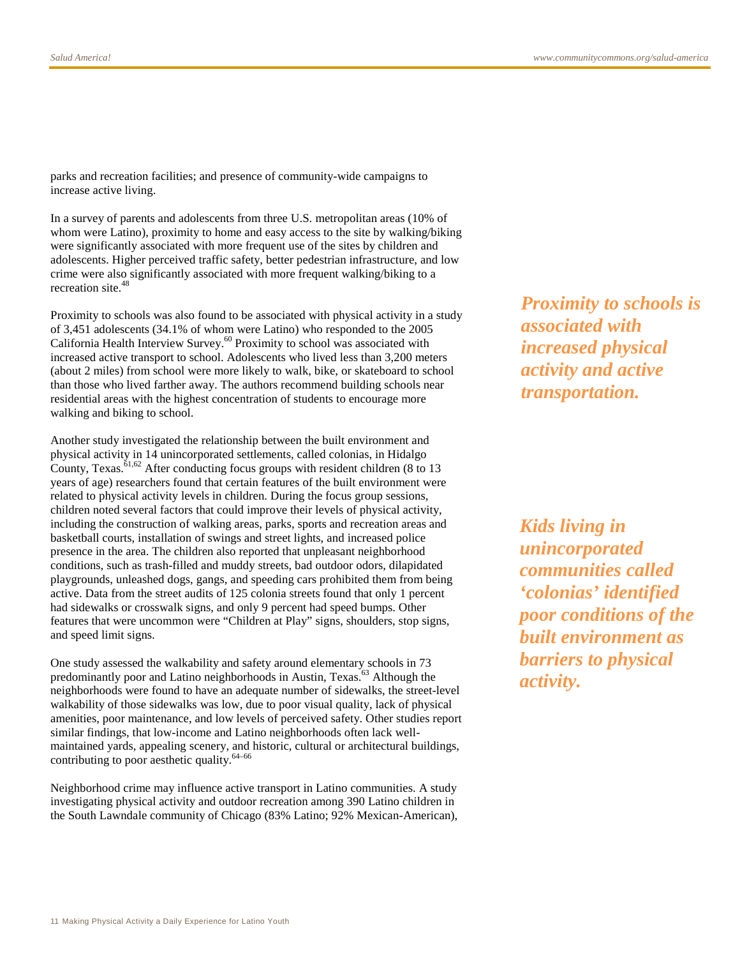parks and recreation facilities; and presence of community-wide campaigns to increase active living.

In a survey of parents and adolescents from three U.S. metropolitan areas (10% of whom were Latino), proximity to home and easy access to the site by walking/biking were significantly associated with more frequent use of the sites by children and adolescents. Higher perceived traffic safety, better pedestrian infrastructure, and low crime were also significantly associated with more frequent walking/biking to a recreation site.<sup>48</sup>

Proximity to schools was also found to be associated with physical activity in a study of 3,451 adolescents (34.1% of whom were Latino) who responded to the 2005 California Health Interview Survey.<sup>60</sup> Proximity to school was associated with increased active transport to school. Adolescents who lived less than 3,200 meters (about 2 miles) from school were more likely to walk, bike, or skateboard to school than those who lived farther away. The authors recommend building schools near residential areas with the highest concentration of students to encourage more walking and biking to school.

Another study investigated the relationship between the built environment and physical activity in 14 unincorporated settlements, called colonias, in Hidalgo County, Texas.<sup> $61,62$ </sup> After conducting focus groups with resident children (8 to 13) years of age) researchers found that certain features of the built environment were related to physical activity levels in children. During the focus group sessions, children noted several factors that could improve their levels of physical activity, including the construction of walking areas, parks, sports and recreation areas and basketball courts, installation of swings and street lights, and increased police presence in the area. The children also reported that unpleasant neighborhood conditions, such as trash-filled and muddy streets, bad outdoor odors, dilapidated playgrounds, unleashed dogs, gangs, and speeding cars prohibited them from being active. Data from the street audits of 125 colonia streets found that only 1 percent had sidewalks or crosswalk signs, and only 9 percent had speed bumps. Other features that were uncommon were "Children at Play" signs, shoulders, stop signs, and speed limit signs.

One study assessed the walkability and safety around elementary schools in 73 predominantly poor and Latino neighborhoods in Austin, Texas.<sup>63</sup> Although the neighborhoods were found to have an adequate number of sidewalks, the street-level walkability of those sidewalks was low, due to poor visual quality, lack of physical amenities, poor maintenance, and low levels of perceived safety. Other studies report similar findings, that low-income and Latino neighborhoods often lack wellmaintained yards, appealing scenery, and historic, cultural or architectural buildings, contributing to poor aesthetic quality.64–66

Neighborhood crime may influence active transport in Latino communities. A study investigating physical activity and outdoor recreation among 390 Latino children in the South Lawndale community of Chicago (83% Latino; 92% Mexican-American), *Proximity to schools is associated with increased physical activity and active transportation.*

*Kids living in unincorporated communities called 'colonias' identified poor conditions of the built environment as barriers to physical activity.*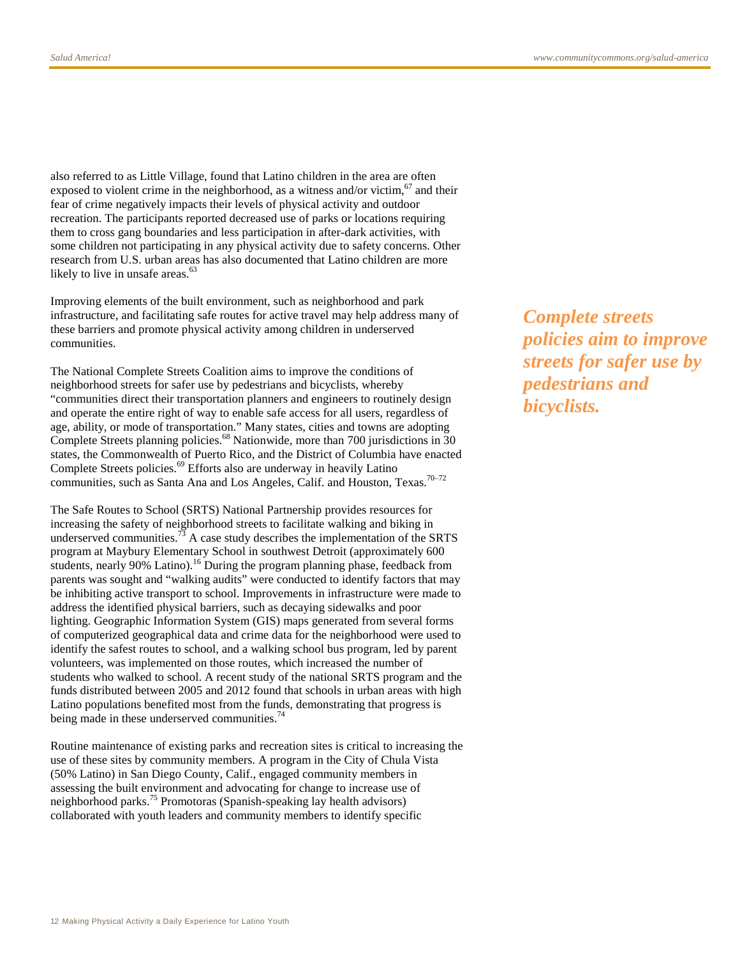also referred to as Little Village, found that Latino children in the area are often exposed to violent crime in the neighborhood, as a witness and/or victim, $67$  and their fear of crime negatively impacts their levels of physical activity and outdoor recreation. The participants reported decreased use of parks or locations requiring them to cross gang boundaries and less participation in after-dark activities, with some children not participating in any physical activity due to safety concerns. Other research from U.S. urban areas has also documented that Latino children are more likely to live in unsafe areas.<sup>63</sup>

Improving elements of the built environment, such as neighborhood and park infrastructure, and facilitating safe routes for active travel may help address many of these barriers and promote physical activity among children in underserved communities.

The National Complete Streets Coalition aims to improve the conditions of neighborhood streets for safer use by pedestrians and bicyclists, whereby "communities direct their transportation planners and engineers to routinely design and operate the entire right of way to enable safe access for all users, regardless of age, ability, or mode of transportation." Many states, cities and towns are adopting Complete Streets planning policies.<sup>68</sup> Nationwide, more than 700 jurisdictions in 30 states, the Commonwealth of Puerto Rico, and the District of Columbia have enacted Complete Streets policies.<sup>69</sup> Efforts also are underway in heavily Latino communities, such as Santa Ana and Los Angeles, Calif. and Houston, Texas.<sup>70-72</sup>

The Safe Routes to School (SRTS) National Partnership provides resources for increasing the safety of neighborhood streets to facilitate walking and biking in underserved communities.<sup>73</sup> A case study describes the implementation of the SRTS program at Maybury Elementary School in southwest Detroit (approximately 600 students, nearly 90% Latino).<sup>16</sup> During the program planning phase, feedback from parents was sought and "walking audits" were conducted to identify factors that may be inhibiting active transport to school. Improvements in infrastructure were made to address the identified physical barriers, such as decaying sidewalks and poor lighting. Geographic Information System (GIS) maps generated from several forms of computerized geographical data and crime data for the neighborhood were used to identify the safest routes to school, and a walking school bus program, led by parent volunteers, was implemented on those routes, which increased the number of students who walked to school. A recent study of the national SRTS program and the funds distributed between 2005 and 2012 found that schools in urban areas with high Latino populations benefited most from the funds, demonstrating that progress is being made in these underserved communities.<sup>74</sup>

Routine maintenance of existing parks and recreation sites is critical to increasing the use of these sites by community members. A program in the City of Chula Vista (50% Latino) in San Diego County, Calif., engaged community members in assessing the built environment and advocating for change to increase use of neighborhood parks.<sup>75</sup> Promotoras (Spanish-speaking lay health advisors) collaborated with youth leaders and community members to identify specific

*Complete streets policies aim to improve streets for safer use by pedestrians and bicyclists.*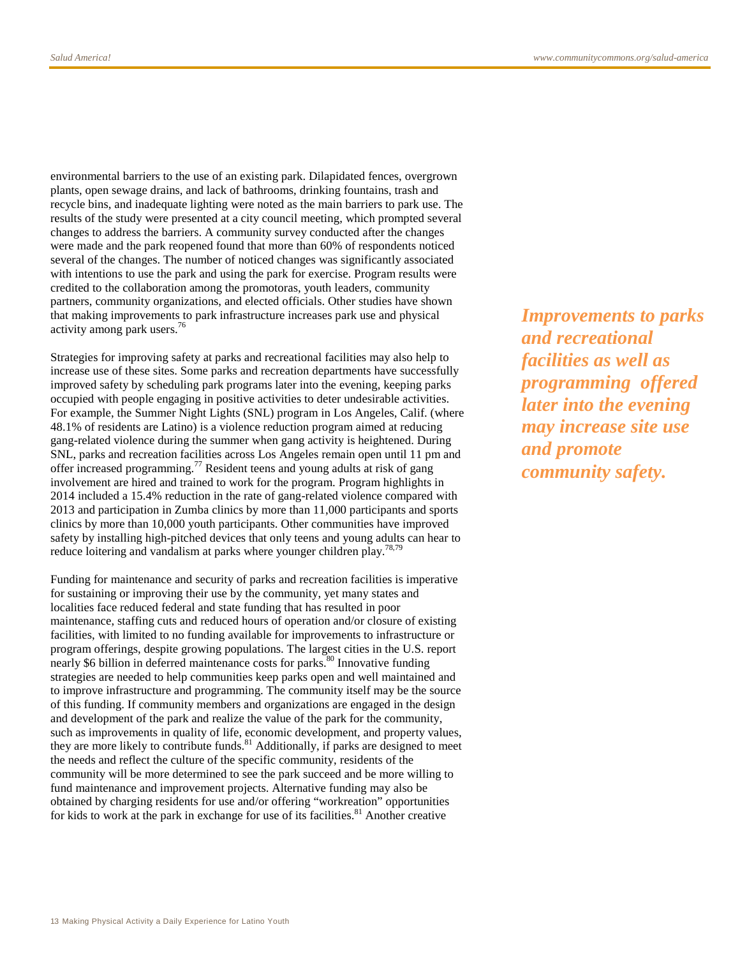environmental barriers to the use of an existing park. Dilapidated fences, overgrown plants, open sewage drains, and lack of bathrooms, drinking fountains, trash and recycle bins, and inadequate lighting were noted as the main barriers to park use. The results of the study were presented at a city council meeting, which prompted several changes to address the barriers. A community survey conducted after the changes were made and the park reopened found that more than 60% of respondents noticed several of the changes. The number of noticed changes was significantly associated with intentions to use the park and using the park for exercise. Program results were credited to the collaboration among the promotoras, youth leaders, community partners, community organizations, and elected officials. Other studies have shown that making improvements to park infrastructure increases park use and physical activity among park users.<sup>76</sup>

Strategies for improving safety at parks and recreational facilities may also help to increase use of these sites. Some parks and recreation departments have successfully improved safety by scheduling park programs later into the evening, keeping parks occupied with people engaging in positive activities to deter undesirable activities. For example, the Summer Night Lights (SNL) program in Los Angeles, Calif. (where 48.1% of residents are Latino) is a violence reduction program aimed at reducing gang-related violence during the summer when gang activity is heightened. During SNL, parks and recreation facilities across Los Angeles remain open until 11 pm and offer increased programming.<sup>77</sup> Resident teens and young adults at risk of gang involvement are hired and trained to work for the program. Program highlights in 2014 included a 15.4% reduction in the rate of gang-related violence compared with 2013 and participation in Zumba clinics by more than 11,000 participants and sports clinics by more than 10,000 youth participants. Other communities have improved safety by installing high-pitched devices that only teens and young adults can hear to reduce loitering and vandalism at parks where younger children play.<sup>78,79</sup>

Funding for maintenance and security of parks and recreation facilities is imperative for sustaining or improving their use by the community, yet many states and localities face reduced federal and state funding that has resulted in poor maintenance, staffing cuts and reduced hours of operation and/or closure of existing facilities, with limited to no funding available for improvements to infrastructure or program offerings, despite growing populations. The largest cities in the U.S. report nearly \$6 billion in deferred maintenance costs for parks.<sup>80</sup> Innovative funding strategies are needed to help communities keep parks open and well maintained and to improve infrastructure and programming. The community itself may be the source of this funding. If community members and organizations are engaged in the design and development of the park and realize the value of the park for the community, such as improvements in quality of life, economic development, and property values, they are more likely to contribute funds.<sup>81</sup> Additionally, if parks are designed to meet the needs and reflect the culture of the specific community, residents of the community will be more determined to see the park succeed and be more willing to fund maintenance and improvement projects. Alternative funding may also be obtained by charging residents for use and/or offering "workreation" opportunities for kids to work at the park in exchange for use of its facilities. $81$  Another creative

*Improvements to parks and recreational facilities as well as programming offered later into the evening may increase site use and promote community safety.*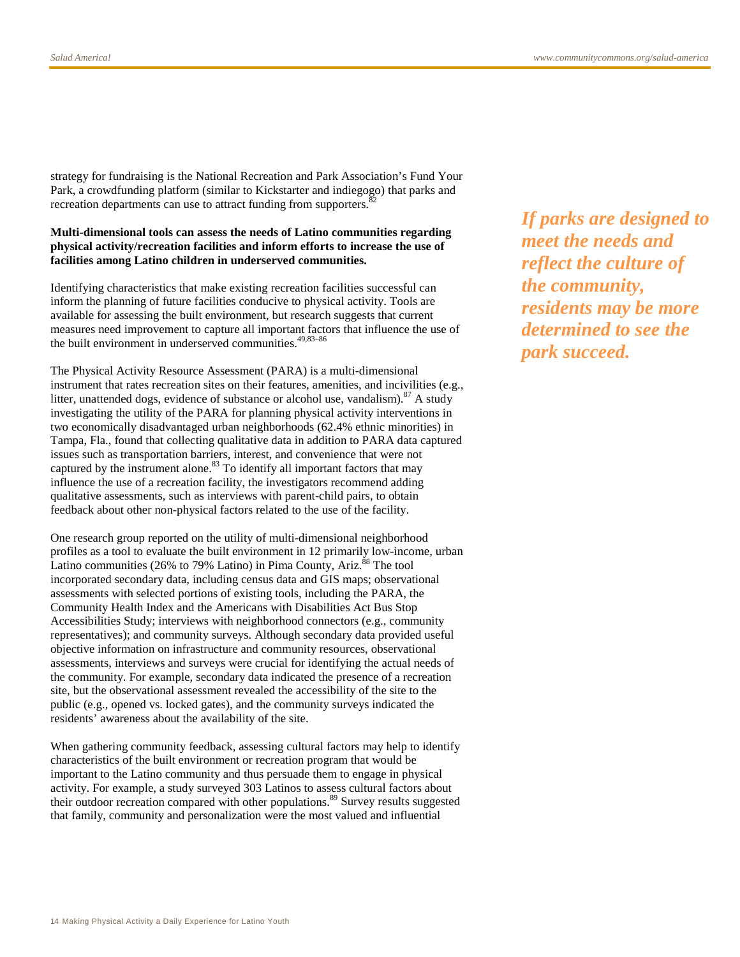strategy for fundraising is the National Recreation and Park Association's Fund Your Park, a crowdfunding platform (similar to Kickstarter and indiegogo) that parks and recreation departments can use to attract funding from supporters.

#### **Multi-dimensional tools can assess the needs of Latino communities regarding physical activity/recreation facilities and inform efforts to increase the use of facilities among Latino children in underserved communities.**

Identifying characteristics that make existing recreation facilities successful can inform the planning of future facilities conducive to physical activity. Tools are available for assessing the built environment, but research suggests that current measures need improvement to capture all important factors that influence the use of the built environment in underserved communities.<sup>49,83-86</sup>

The Physical Activity Resource Assessment (PARA) is a multi-dimensional instrument that rates recreation sites on their features, amenities, and incivilities (e.g., litter, unattended dogs, evidence of substance or alcohol use, vandalism).<sup>87</sup> A study investigating the utility of the PARA for planning physical activity interventions in two economically disadvantaged urban neighborhoods (62.4% ethnic minorities) in Tampa, Fla., found that collecting qualitative data in addition to PARA data captured issues such as transportation barriers, interest, and convenience that were not captured by the instrument alone. $83$  To identify all important factors that may influence the use of a recreation facility, the investigators recommend adding qualitative assessments, such as interviews with parent-child pairs, to obtain feedback about other non-physical factors related to the use of the facility.

One research group reported on the utility of multi-dimensional neighborhood profiles as a tool to evaluate the built environment in 12 primarily low-income, urban Latino communities (26% to 79% Latino) in Pima County, Ariz.<sup>88</sup> The tool incorporated secondary data, including census data and GIS maps; observational assessments with selected portions of existing tools, including the PARA, the Community Health Index and the Americans with Disabilities Act Bus Stop Accessibilities Study; interviews with neighborhood connectors (e.g., community representatives); and community surveys. Although secondary data provided useful objective information on infrastructure and community resources, observational assessments, interviews and surveys were crucial for identifying the actual needs of the community. For example, secondary data indicated the presence of a recreation site, but the observational assessment revealed the accessibility of the site to the public (e.g., opened vs. locked gates), and the community surveys indicated the residents' awareness about the availability of the site.

When gathering community feedback, assessing cultural factors may help to identify characteristics of the built environment or recreation program that would be important to the Latino community and thus persuade them to engage in physical activity. For example, a study surveyed 303 Latinos to assess cultural factors about their outdoor recreation compared with other populations.<sup>89</sup> Survey results suggested that family, community and personalization were the most valued and influential

*If parks are designed to meet the needs and reflect the culture of the community, residents may be more determined to see the park succeed.*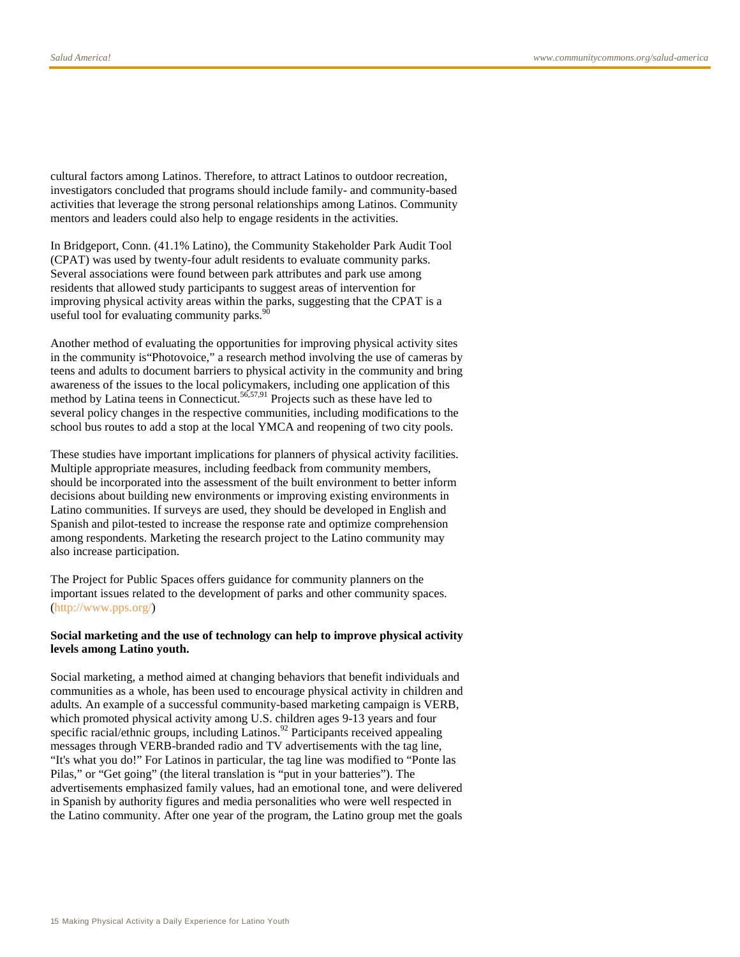cultural factors among Latinos. Therefore, to attract Latinos to outdoor recreation, investigators concluded that programs should include family- and community-based activities that leverage the strong personal relationships among Latinos. Community mentors and leaders could also help to engage residents in the activities.

In Bridgeport, Conn. (41.1% Latino), the Community Stakeholder Park Audit Tool (CPAT) was used by twenty-four adult residents to evaluate community parks. Several associations were found between park attributes and park use among residents that allowed study participants to suggest areas of intervention for improving physical activity areas within the parks, suggesting that the CPAT is a useful tool for evaluating community parks.

Another method of evaluating the opportunities for improving physical activity sites in the community is"Photovoice," a research method involving the use of cameras by teens and adults to document barriers to physical activity in the community and bring awareness of the issues to the local policymakers, including one application of this method by Latina teens in Connecticut.<sup>56,57,91</sup> Projects such as these have led to several policy changes in the respective communities, including modifications to the school bus routes to add a stop at the local YMCA and reopening of two city pools.

These studies have important implications for planners of physical activity facilities. Multiple appropriate measures, including feedback from community members, should be incorporated into the assessment of the built environment to better inform decisions about building new environments or improving existing environments in Latino communities. If surveys are used, they should be developed in English and Spanish and pilot-tested to increase the response rate and optimize comprehension among respondents. Marketing the research project to the Latino community may also increase participation.

The Project for Public Spaces offers guidance for community planners on the important issues related to the development of parks and other community spaces. [\(http://www.pps.org/\)](http://www.pps.org/)

#### **Social marketing and the use of technology can help to improve physical activity levels among Latino youth.**

Social marketing, a method aimed at changing behaviors that benefit individuals and communities as a whole, has been used to encourage physical activity in children and adults. An example of a successful community-based marketing campaign is VERB, which promoted physical activity among U.S. children ages 9-13 years and four specific racial/ethnic groups, including Latinos.<sup>92</sup> Participants received appealing messages through VERB-branded radio and TV advertisements with the tag line, "It's what you do!" For Latinos in particular, the tag line was modified to "Ponte las Pilas," or "Get going" (the literal translation is "put in your batteries"). The advertisements emphasized family values, had an emotional tone, and were delivered in Spanish by authority figures and media personalities who were well respected in the Latino community. After one year of the program, the Latino group met the goals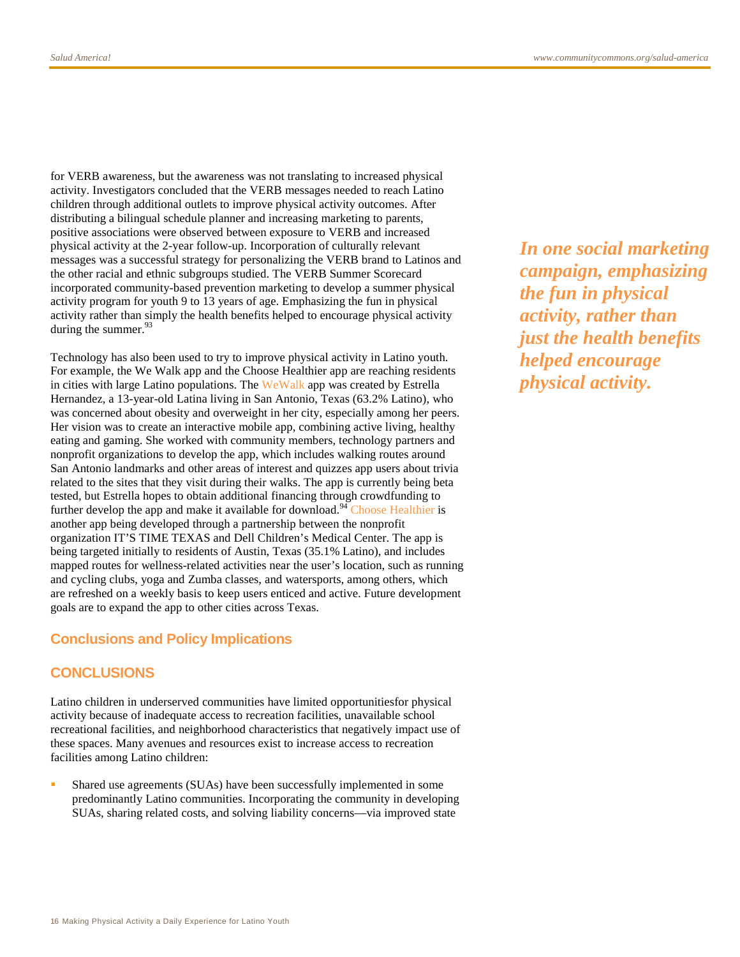for VERB awareness, but the awareness was not translating to increased physical activity. Investigators concluded that the VERB messages needed to reach Latino children through additional outlets to improve physical activity outcomes. After distributing a bilingual schedule planner and increasing marketing to parents, positive associations were observed between exposure to VERB and increased physical activity at the 2-year follow-up. Incorporation of culturally relevant messages was a successful strategy for personalizing the VERB brand to Latinos and the other racial and ethnic subgroups studied. The VERB Summer Scorecard incorporated community-based prevention marketing to develop a summer physical activity program for youth 9 to 13 years of age. Emphasizing the fun in physical activity rather than simply the health benefits helped to encourage physical activity during the summer.  $93$ 

Technology has also been used to try to improve physical activity in Latino youth. For example, the We Walk app and the Choose Healthier app are reaching residents in cities with large Latino populations. Th[e WeWalk](http://www.communitycommons.org/groups/salud-america/changes/thirteen-year-old-girl-develops-we-walk-app-to-get-kids-walking/) app was created by Estrella Hernandez, a 13-year-old Latina living in San Antonio, Texas (63.2% Latino), who was concerned about obesity and overweight in her city, especially among her peers. Her vision was to create an interactive mobile app, combining active living, healthy eating and gaming. She worked with community members, technology partners and nonprofit organizations to develop the app, which includes walking routes around San Antonio landmarks and other areas of interest and quizzes app users about trivia related to the sites that they visit during their walks. The app is currently being beta tested, but Estrella hopes to obtain additional financing through crowdfunding to further develop the app and make it available for download.<sup>94</sup> [Choose Healthier](http://www.communitycommons.org/groups/salud-america/heroes/finding-wellness-activities-nearby-theres-an-app-for-that/) is another app being developed through a partnership between the nonprofit organization IT'S TIME TEXAS and Dell Children's Medical Center. The app is being targeted initially to residents of Austin, Texas (35.1% Latino), and includes mapped routes for wellness-related activities near the user's location, such as running and cycling clubs, yoga and Zumba classes, and watersports, among others, which are refreshed on a weekly basis to keep users enticed and active. Future development goals are to expand the app to other cities across Texas.

#### **Conclusions and Policy Implications**

#### **CONCLUSIONS**

Latino children in underserved communities have limited opportunitiesfor physical activity because of inadequate access to recreation facilities, unavailable school recreational facilities, and neighborhood characteristics that negatively impact use of these spaces. Many avenues and resources exist to increase access to recreation facilities among Latino children:

 Shared use agreements (SUAs) have been successfully implemented in some predominantly Latino communities. Incorporating the community in developing SUAs, sharing related costs, and solving liability concerns—via improved state

*In one social marketing campaign, emphasizing the fun in physical activity, rather than just the health benefits helped encourage physical activity.*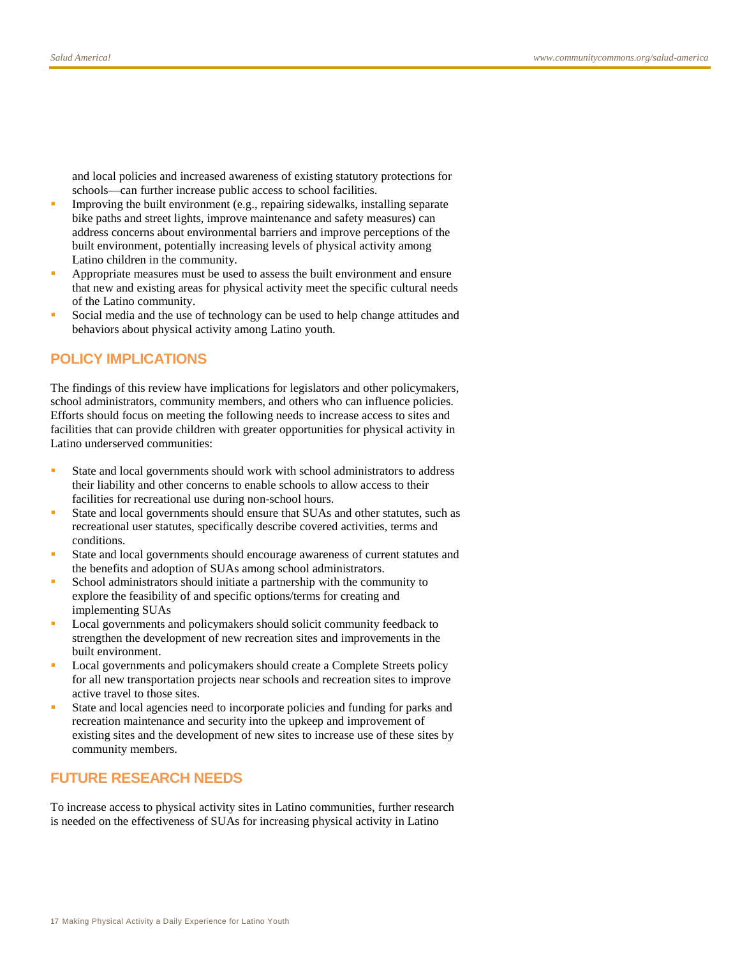and local policies and increased awareness of existing statutory protections for schools—can further increase public access to school facilities.

- Improving the built environment (e.g., repairing sidewalks, installing separate bike paths and street lights, improve maintenance and safety measures) can address concerns about environmental barriers and improve perceptions of the built environment, potentially increasing levels of physical activity among Latino children in the community.
- Appropriate measures must be used to assess the built environment and ensure that new and existing areas for physical activity meet the specific cultural needs of the Latino community.
- Social media and the use of technology can be used to help change attitudes and behaviors about physical activity among Latino youth.

# **POLICY IMPLICATIONS**

The findings of this review have implications for legislators and other policymakers, school administrators, community members, and others who can influence policies. Efforts should focus on meeting the following needs to increase access to sites and facilities that can provide children with greater opportunities for physical activity in Latino underserved communities:

- State and local governments should work with school administrators to address their liability and other concerns to enable schools to allow access to their facilities for recreational use during non-school hours.
- State and local governments should ensure that SUAs and other statutes, such as recreational user statutes, specifically describe covered activities, terms and conditions.
- State and local governments should encourage awareness of current statutes and the benefits and adoption of SUAs among school administrators.
- School administrators should initiate a partnership with the community to explore the feasibility of and specific options/terms for creating and implementing SUAs
- Local governments and policymakers should solicit community feedback to strengthen the development of new recreation sites and improvements in the built environment.
- **Local governments and policymakers should create a Complete Streets policy** for all new transportation projects near schools and recreation sites to improve active travel to those sites.
- State and local agencies need to incorporate policies and funding for parks and recreation maintenance and security into the upkeep and improvement of existing sites and the development of new sites to increase use of these sites by community members.

# **FUTURE RESEARCH NEEDS**

To increase access to physical activity sites in Latino communities, further research is needed on the effectiveness of SUAs for increasing physical activity in Latino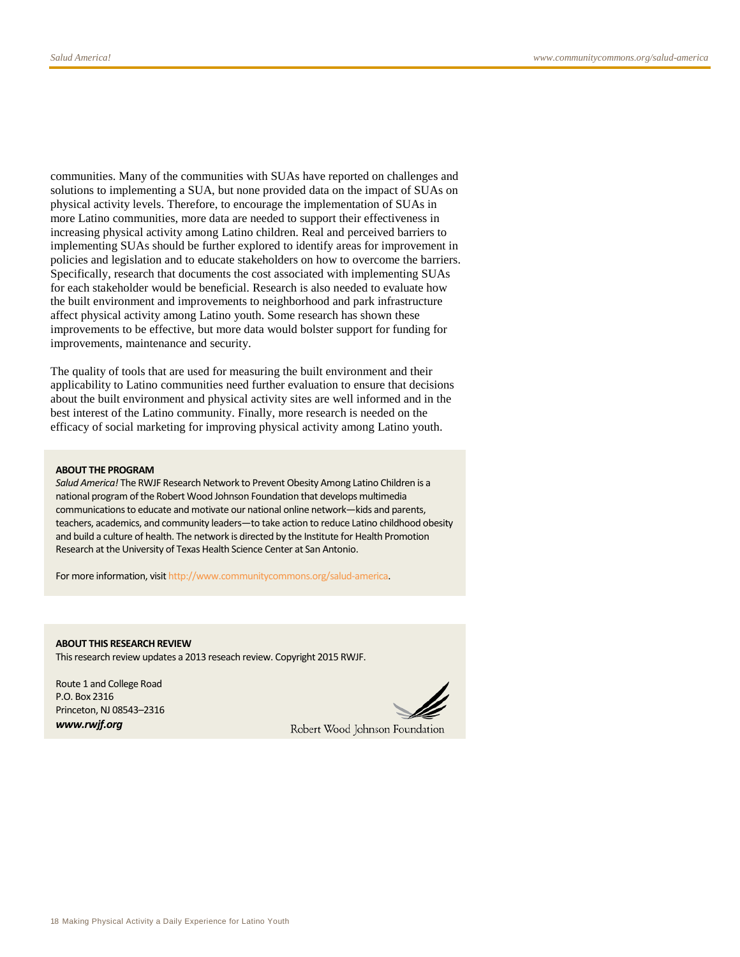communities. Many of the communities with SUAs have reported on challenges and solutions to implementing a SUA, but none provided data on the impact of SUAs on physical activity levels. Therefore, to encourage the implementation of SUAs in more Latino communities, more data are needed to support their effectiveness in increasing physical activity among Latino children. Real and perceived barriers to implementing SUAs should be further explored to identify areas for improvement in policies and legislation and to educate stakeholders on how to overcome the barriers. Specifically, research that documents the cost associated with implementing SUAs for each stakeholder would be beneficial. Research is also needed to evaluate how the built environment and improvements to neighborhood and park infrastructure affect physical activity among Latino youth. Some research has shown these improvements to be effective, but more data would bolster support for funding for improvements, maintenance and security.

The quality of tools that are used for measuring the built environment and their applicability to Latino communities need further evaluation to ensure that decisions about the built environment and physical activity sites are well informed and in the best interest of the Latino community. Finally, more research is needed on the efficacy of social marketing for improving physical activity among Latino youth.

#### **ABOUT THE PROGRAM**

*Salud America!* The RWJF Research Network to Prevent Obesity Among Latino Children is a national program of the Robert Wood Johnson Foundation that develops multimedia communications to educate and motivate our national online network—kids and parents, teachers, academics, and community leaders—to take action to reduce Latino childhood obesity and build a culture of health. The network is directed by the Institute for Health Promotion Research at the University of Texas Health Science Center at San Antonio.

For more information, visi[t http://www.communitycommons.org/salud-america.](http://www.communitycommons.org/salud-america)

**ABOUT THIS RESEARCH REVIEW** This research review updates a 2013 reseach review. Copyright 2015 RWJF.

Route 1 and College Road P.O. Box 2316 Princeton, NJ 08543–2316 *www.rwjf.org*

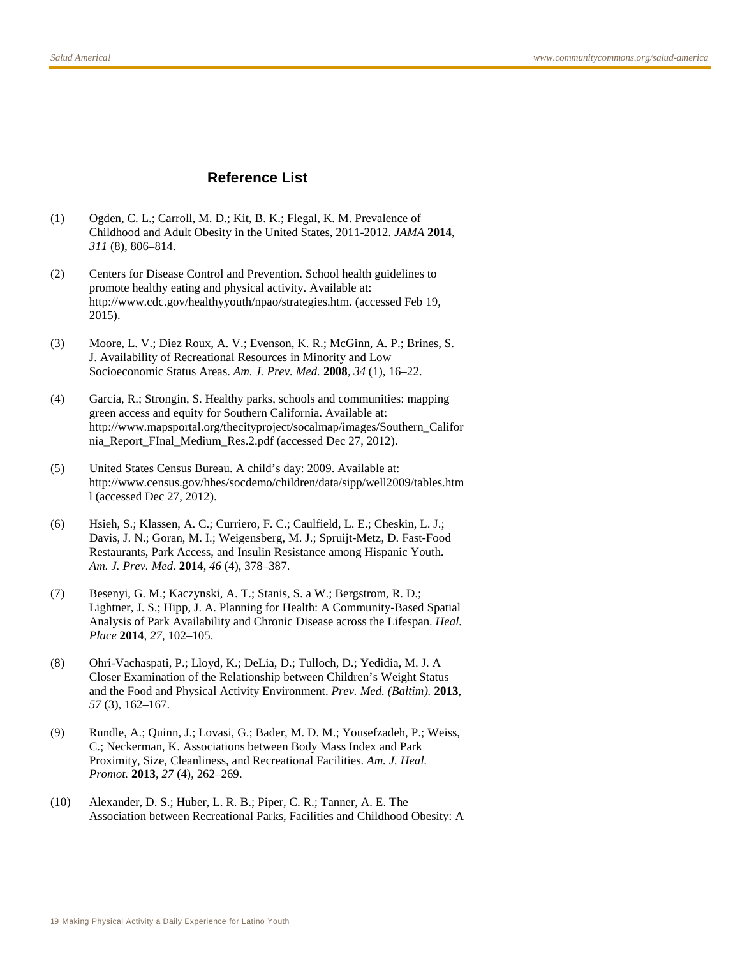# **Reference List**

- (1) Ogden, C. L.; Carroll, M. D.; Kit, B. K.; Flegal, K. M. Prevalence of Childhood and Adult Obesity in the United States, 2011-2012. *JAMA* **2014**, *311* (8), 806–814.
- (2) Centers for Disease Control and Prevention. School health guidelines to promote healthy eating and physical activity. Available at: http://www.cdc.gov/healthyyouth/npao/strategies.htm. (accessed Feb 19, 2015).
- (3) Moore, L. V.; Diez Roux, A. V.; Evenson, K. R.; McGinn, A. P.; Brines, S. J. Availability of Recreational Resources in Minority and Low Socioeconomic Status Areas. *Am. J. Prev. Med.* **2008**, *34* (1), 16–22.
- (4) Garcia, R.; Strongin, S. Healthy parks, schools and communities: mapping green access and equity for Southern California. Available at: http://www.mapsportal.org/thecityproject/socalmap/images/Southern\_Califor nia\_Report\_FInal\_Medium\_Res.2.pdf (accessed Dec 27, 2012).
- (5) United States Census Bureau. A child's day: 2009. Available at: http://www.census.gov/hhes/socdemo/children/data/sipp/well2009/tables.htm l (accessed Dec 27, 2012).
- (6) Hsieh, S.; Klassen, A. C.; Curriero, F. C.; Caulfield, L. E.; Cheskin, L. J.; Davis, J. N.; Goran, M. I.; Weigensberg, M. J.; Spruijt-Metz, D. Fast-Food Restaurants, Park Access, and Insulin Resistance among Hispanic Youth. *Am. J. Prev. Med.* **2014**, *46* (4), 378–387.
- (7) Besenyi, G. M.; Kaczynski, A. T.; Stanis, S. a W.; Bergstrom, R. D.; Lightner, J. S.; Hipp, J. A. Planning for Health: A Community-Based Spatial Analysis of Park Availability and Chronic Disease across the Lifespan. *Heal. Place* **2014**, *27*, 102–105.
- (8) Ohri-Vachaspati, P.; Lloyd, K.; DeLia, D.; Tulloch, D.; Yedidia, M. J. A Closer Examination of the Relationship between Children's Weight Status and the Food and Physical Activity Environment. *Prev. Med. (Baltim).* **2013**, *57* (3), 162–167.
- (9) Rundle, A.; Quinn, J.; Lovasi, G.; Bader, M. D. M.; Yousefzadeh, P.; Weiss, C.; Neckerman, K. Associations between Body Mass Index and Park Proximity, Size, Cleanliness, and Recreational Facilities. *Am. J. Heal. Promot.* **2013**, *27* (4), 262–269.
- (10) Alexander, D. S.; Huber, L. R. B.; Piper, C. R.; Tanner, A. E. The Association between Recreational Parks, Facilities and Childhood Obesity: A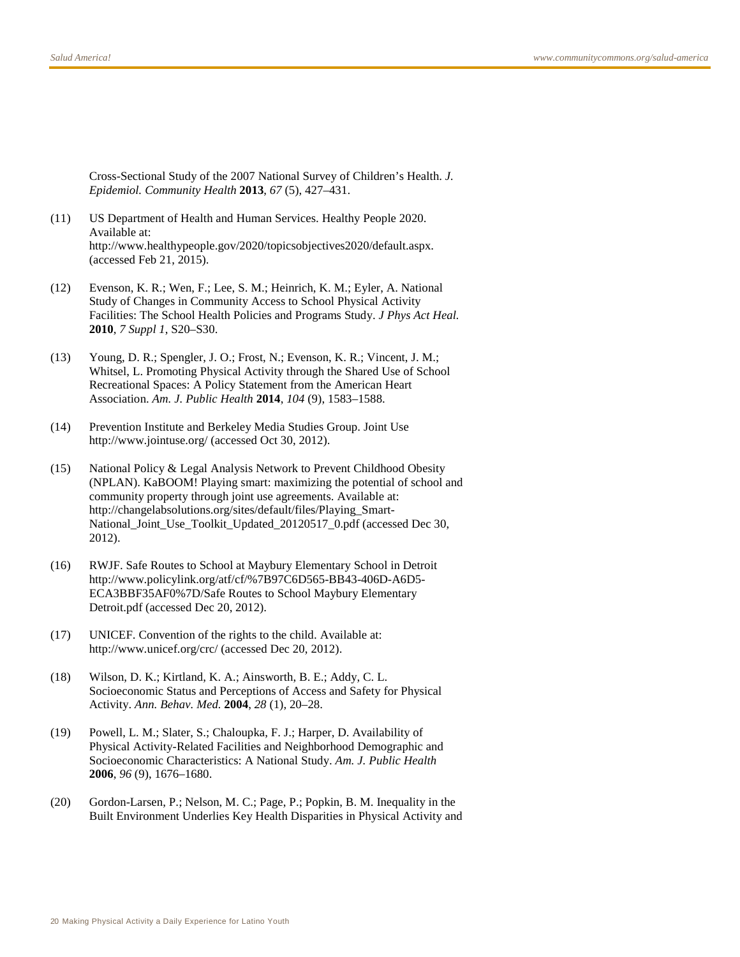Cross-Sectional Study of the 2007 National Survey of Children's Health. *J. Epidemiol. Community Health* **2013**, *67* (5), 427–431.

- (11) US Department of Health and Human Services. Healthy People 2020. Available at: http://www.healthypeople.gov/2020/topicsobjectives2020/default.aspx. (accessed Feb 21, 2015).
- (12) Evenson, K. R.; Wen, F.; Lee, S. M.; Heinrich, K. M.; Eyler, A. National Study of Changes in Community Access to School Physical Activity Facilities: The School Health Policies and Programs Study. *J Phys Act Heal.* **2010**, *7 Suppl 1*, S20–S30.
- (13) Young, D. R.; Spengler, J. O.; Frost, N.; Evenson, K. R.; Vincent, J. M.; Whitsel, L. Promoting Physical Activity through the Shared Use of School Recreational Spaces: A Policy Statement from the American Heart Association. *Am. J. Public Health* **2014**, *104* (9), 1583–1588.
- (14) Prevention Institute and Berkeley Media Studies Group. Joint Use http://www.jointuse.org/ (accessed Oct 30, 2012).
- (15) National Policy & Legal Analysis Network to Prevent Childhood Obesity (NPLAN). KaBOOM! Playing smart: maximizing the potential of school and community property through joint use agreements. Available at: http://changelabsolutions.org/sites/default/files/Playing\_Smart-National\_Joint\_Use\_Toolkit\_Updated\_20120517\_0.pdf (accessed Dec 30, 2012).
- (16) RWJF. Safe Routes to School at Maybury Elementary School in Detroit http://www.policylink.org/atf/cf/%7B97C6D565-BB43-406D-A6D5- ECA3BBF35AF0%7D/Safe Routes to School Maybury Elementary Detroit.pdf (accessed Dec 20, 2012).
- (17) UNICEF. Convention of the rights to the child. Available at: http://www.unicef.org/crc/ (accessed Dec 20, 2012).
- (18) Wilson, D. K.; Kirtland, K. A.; Ainsworth, B. E.; Addy, C. L. Socioeconomic Status and Perceptions of Access and Safety for Physical Activity. *Ann. Behav. Med.* **2004**, *28* (1), 20–28.
- (19) Powell, L. M.; Slater, S.; Chaloupka, F. J.; Harper, D. Availability of Physical Activity-Related Facilities and Neighborhood Demographic and Socioeconomic Characteristics: A National Study. *Am. J. Public Health* **2006**, *96* (9), 1676–1680.
- (20) Gordon-Larsen, P.; Nelson, M. C.; Page, P.; Popkin, B. M. Inequality in the Built Environment Underlies Key Health Disparities in Physical Activity and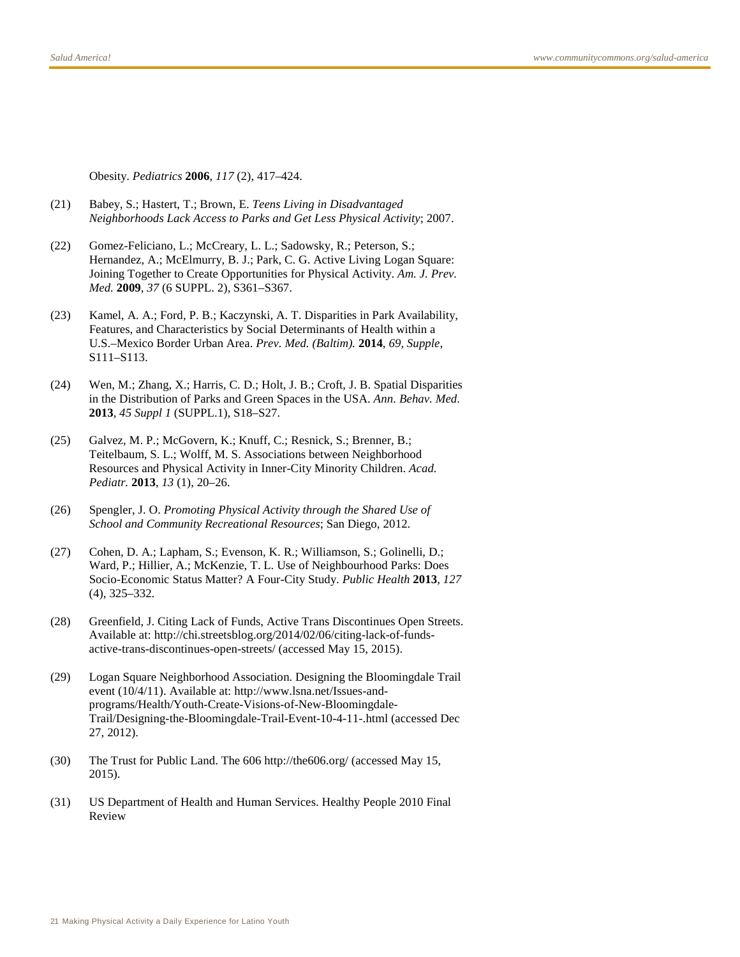Obesity. *Pediatrics* **2006**, *117* (2), 417–424.

- (21) Babey, S.; Hastert, T.; Brown, E. *Teens Living in Disadvantaged Neighborhoods Lack Access to Parks and Get Less Physical Activity*; 2007.
- (22) Gomez-Feliciano, L.; McCreary, L. L.; Sadowsky, R.; Peterson, S.; Hernandez, A.; McElmurry, B. J.; Park, C. G. Active Living Logan Square: Joining Together to Create Opportunities for Physical Activity. *Am. J. Prev. Med.* **2009**, *37* (6 SUPPL. 2), S361–S367.
- (23) Kamel, A. A.; Ford, P. B.; Kaczynski, A. T. Disparities in Park Availability, Features, and Characteristics by Social Determinants of Health within a U.S.–Mexico Border Urban Area. *Prev. Med. (Baltim).* **2014**, *69, Supple*, S111–S113.
- (24) Wen, M.; Zhang, X.; Harris, C. D.; Holt, J. B.; Croft, J. B. Spatial Disparities in the Distribution of Parks and Green Spaces in the USA. *Ann. Behav. Med.* **2013**, *45 Suppl 1* (SUPPL.1), S18–S27.
- (25) Galvez, M. P.; McGovern, K.; Knuff, C.; Resnick, S.; Brenner, B.; Teitelbaum, S. L.; Wolff, M. S. Associations between Neighborhood Resources and Physical Activity in Inner-City Minority Children. *Acad. Pediatr.* **2013**, *13* (1), 20–26.
- (26) Spengler, J. O. *Promoting Physical Activity through the Shared Use of School and Community Recreational Resources*; San Diego, 2012.
- (27) Cohen, D. A.; Lapham, S.; Evenson, K. R.; Williamson, S.; Golinelli, D.; Ward, P.; Hillier, A.; McKenzie, T. L. Use of Neighbourhood Parks: Does Socio-Economic Status Matter? A Four-City Study. *Public Health* **2013**, *127* (4), 325–332.
- (28) Greenfield, J. Citing Lack of Funds, Active Trans Discontinues Open Streets. Available at: http://chi.streetsblog.org/2014/02/06/citing-lack-of-fundsactive-trans-discontinues-open-streets/ (accessed May 15, 2015).
- (29) Logan Square Neighborhood Association. Designing the Bloomingdale Trail event (10/4/11). Available at: http://www.lsna.net/Issues-andprograms/Health/Youth-Create-Visions-of-New-Bloomingdale-Trail/Designing-the-Bloomingdale-Trail-Event-10-4-11-.html (accessed Dec 27, 2012).
- (30) The Trust for Public Land. The 606 http://the606.org/ (accessed May 15, 2015).
- (31) US Department of Health and Human Services. Healthy People 2010 Final Review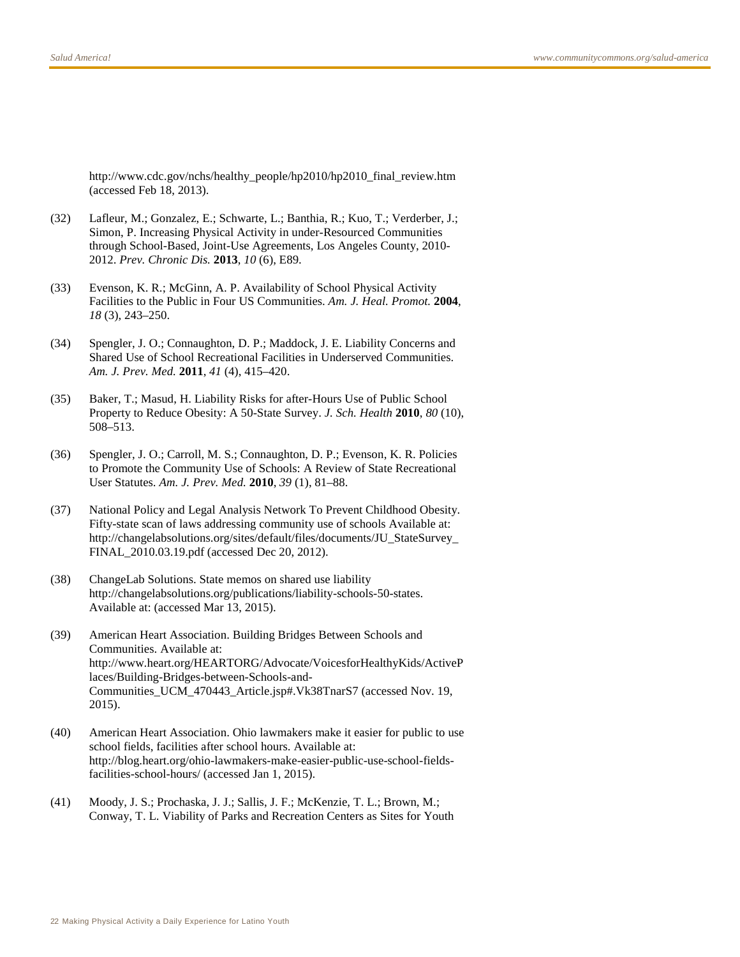http://www.cdc.gov/nchs/healthy\_people/hp2010/hp2010\_final\_review.htm (accessed Feb 18, 2013).

- (32) Lafleur, M.; Gonzalez, E.; Schwarte, L.; Banthia, R.; Kuo, T.; Verderber, J.; Simon, P. Increasing Physical Activity in under-Resourced Communities through School-Based, Joint-Use Agreements, Los Angeles County, 2010- 2012. *Prev. Chronic Dis.* **2013**, *10* (6), E89.
- (33) Evenson, K. R.; McGinn, A. P. Availability of School Physical Activity Facilities to the Public in Four US Communities. *Am. J. Heal. Promot.* **2004**, *18* (3), 243–250.
- (34) Spengler, J. O.; Connaughton, D. P.; Maddock, J. E. Liability Concerns and Shared Use of School Recreational Facilities in Underserved Communities. *Am. J. Prev. Med.* **2011**, *41* (4), 415–420.
- (35) Baker, T.; Masud, H. Liability Risks for after-Hours Use of Public School Property to Reduce Obesity: A 50-State Survey. *J. Sch. Health* **2010**, *80* (10), 508–513.
- (36) Spengler, J. O.; Carroll, M. S.; Connaughton, D. P.; Evenson, K. R. Policies to Promote the Community Use of Schools: A Review of State Recreational User Statutes. *Am. J. Prev. Med.* **2010**, *39* (1), 81–88.
- (37) National Policy and Legal Analysis Network To Prevent Childhood Obesity. Fifty-state scan of laws addressing community use of schools Available at: http://changelabsolutions.org/sites/default/files/documents/JU\_StateSurvey\_ FINAL\_2010.03.19.pdf (accessed Dec 20, 2012).
- (38) ChangeLab Solutions. State memos on shared use liability http://changelabsolutions.org/publications/liability-schools-50-states. Available at: (accessed Mar 13, 2015).
- (39) American Heart Association. Building Bridges Between Schools and Communities. Available at: http://www.heart.org/HEARTORG/Advocate/VoicesforHealthyKids/ActiveP laces/Building-Bridges-between-Schools-and-Communities\_UCM\_470443\_Article.jsp#.Vk38TnarS7 (accessed Nov. 19, 2015).
- (40) American Heart Association. Ohio lawmakers make it easier for public to use school fields, facilities after school hours. Available at: http://blog.heart.org/ohio-lawmakers-make-easier-public-use-school-fieldsfacilities-school-hours/ (accessed Jan 1, 2015).
- (41) Moody, J. S.; Prochaska, J. J.; Sallis, J. F.; McKenzie, T. L.; Brown, M.; Conway, T. L. Viability of Parks and Recreation Centers as Sites for Youth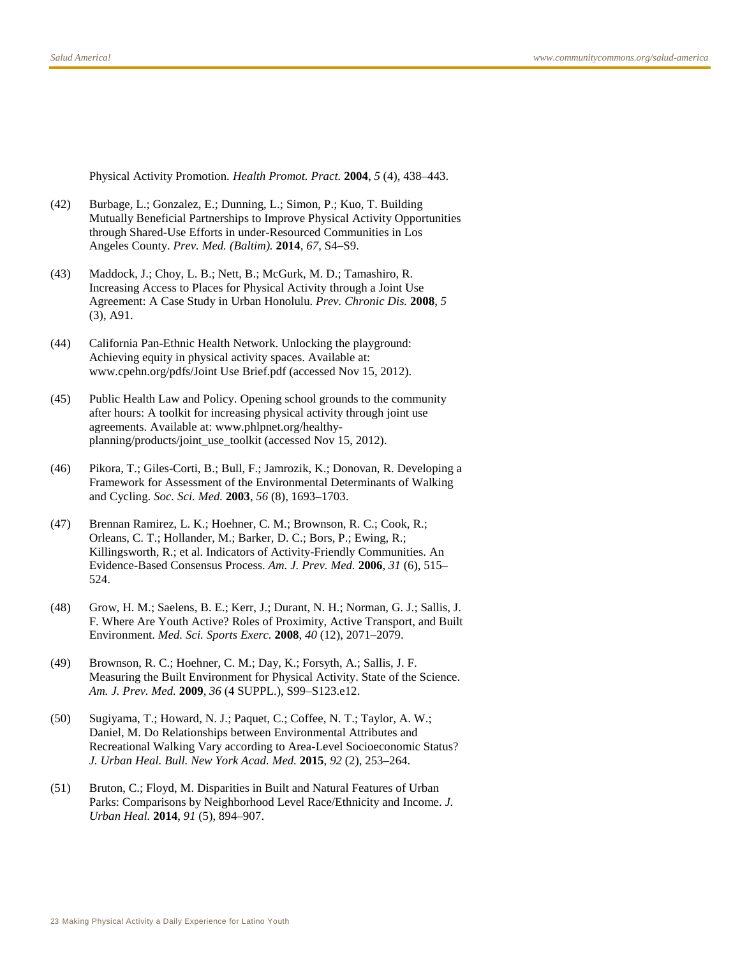Physical Activity Promotion. *Health Promot. Pract.* **2004**, *5* (4), 438–443.

- (42) Burbage, L.; Gonzalez, E.; Dunning, L.; Simon, P.; Kuo, T. Building Mutually Beneficial Partnerships to Improve Physical Activity Opportunities through Shared-Use Efforts in under-Resourced Communities in Los Angeles County. *Prev. Med. (Baltim).* **2014**, *67*, S4–S9.
- (43) Maddock, J.; Choy, L. B.; Nett, B.; McGurk, M. D.; Tamashiro, R. Increasing Access to Places for Physical Activity through a Joint Use Agreement: A Case Study in Urban Honolulu. *Prev. Chronic Dis.* **2008**, *5* (3), A91.
- (44) California Pan-Ethnic Health Network. Unlocking the playground: Achieving equity in physical activity spaces. Available at: www.cpehn.org/pdfs/Joint Use Brief.pdf (accessed Nov 15, 2012).
- (45) Public Health Law and Policy. Opening school grounds to the community after hours: A toolkit for increasing physical activity through joint use agreements. Available at: www.phlpnet.org/healthyplanning/products/joint\_use\_toolkit (accessed Nov 15, 2012).
- (46) Pikora, T.; Giles-Corti, B.; Bull, F.; Jamrozik, K.; Donovan, R. Developing a Framework for Assessment of the Environmental Determinants of Walking and Cycling. *Soc. Sci. Med.* **2003**, *56* (8), 1693–1703.
- (47) Brennan Ramirez, L. K.; Hoehner, C. M.; Brownson, R. C.; Cook, R.; Orleans, C. T.; Hollander, M.; Barker, D. C.; Bors, P.; Ewing, R.; Killingsworth, R.; et al. Indicators of Activity-Friendly Communities. An Evidence-Based Consensus Process. *Am. J. Prev. Med.* **2006**, *31* (6), 515– 524.
- (48) Grow, H. M.; Saelens, B. E.; Kerr, J.; Durant, N. H.; Norman, G. J.; Sallis, J. F. Where Are Youth Active? Roles of Proximity, Active Transport, and Built Environment. *Med. Sci. Sports Exerc.* **2008**, *40* (12), 2071–2079.
- (49) Brownson, R. C.; Hoehner, C. M.; Day, K.; Forsyth, A.; Sallis, J. F. Measuring the Built Environment for Physical Activity. State of the Science. *Am. J. Prev. Med.* **2009**, *36* (4 SUPPL.), S99–S123.e12.
- (50) Sugiyama, T.; Howard, N. J.; Paquet, C.; Coffee, N. T.; Taylor, A. W.; Daniel, M. Do Relationships between Environmental Attributes and Recreational Walking Vary according to Area-Level Socioeconomic Status? *J. Urban Heal. Bull. New York Acad. Med.* **2015**, *92* (2), 253–264.
- (51) Bruton, C.; Floyd, M. Disparities in Built and Natural Features of Urban Parks: Comparisons by Neighborhood Level Race/Ethnicity and Income. *J. Urban Heal.* **2014**, *91* (5), 894–907.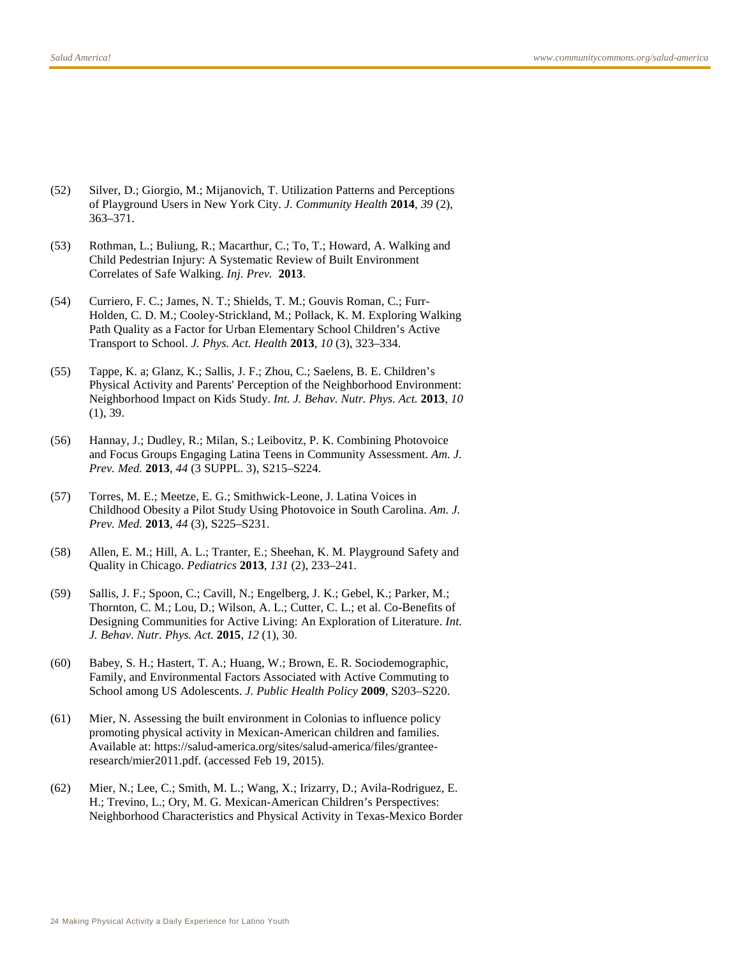- (52) Silver, D.; Giorgio, M.; Mijanovich, T. Utilization Patterns and Perceptions of Playground Users in New York City. *J. Community Health* **2014**, *39* (2), 363–371.
- (53) Rothman, L.; Buliung, R.; Macarthur, C.; To, T.; Howard, A. Walking and Child Pedestrian Injury: A Systematic Review of Built Environment Correlates of Safe Walking. *Inj. Prev.* **2013**.
- (54) Curriero, F. C.; James, N. T.; Shields, T. M.; Gouvis Roman, C.; Furr-Holden, C. D. M.; Cooley-Strickland, M.; Pollack, K. M. Exploring Walking Path Quality as a Factor for Urban Elementary School Children's Active Transport to School. *J. Phys. Act. Health* **2013**, *10* (3), 323–334.
- (55) Tappe, K. a; Glanz, K.; Sallis, J. F.; Zhou, C.; Saelens, B. E. Children's Physical Activity and Parents' Perception of the Neighborhood Environment: Neighborhood Impact on Kids Study. *Int. J. Behav. Nutr. Phys. Act.* **2013**, *10* (1), 39.
- (56) Hannay, J.; Dudley, R.; Milan, S.; Leibovitz, P. K. Combining Photovoice and Focus Groups Engaging Latina Teens in Community Assessment. *Am. J. Prev. Med.* **2013**, *44* (3 SUPPL. 3), S215–S224.
- (57) Torres, M. E.; Meetze, E. G.; Smithwick-Leone, J. Latina Voices in Childhood Obesity a Pilot Study Using Photovoice in South Carolina. *Am. J. Prev. Med.* **2013**, *44* (3), S225–S231.
- (58) Allen, E. M.; Hill, A. L.; Tranter, E.; Sheehan, K. M. Playground Safety and Quality in Chicago. *Pediatrics* **2013**, *131* (2), 233–241.
- (59) Sallis, J. F.; Spoon, C.; Cavill, N.; Engelberg, J. K.; Gebel, K.; Parker, M.; Thornton, C. M.; Lou, D.; Wilson, A. L.; Cutter, C. L.; et al. Co-Benefits of Designing Communities for Active Living: An Exploration of Literature. *Int. J. Behav. Nutr. Phys. Act.* **2015**, *12* (1), 30.
- (60) Babey, S. H.; Hastert, T. A.; Huang, W.; Brown, E. R. Sociodemographic, Family, and Environmental Factors Associated with Active Commuting to School among US Adolescents. *J. Public Health Policy* **2009**, S203–S220.
- (61) Mier, N. Assessing the built environment in Colonias to influence policy promoting physical activity in Mexican-American children and families. Available at: https://salud-america.org/sites/salud-america/files/granteeresearch/mier2011.pdf. (accessed Feb 19, 2015).
- (62) Mier, N.; Lee, C.; Smith, M. L.; Wang, X.; Irizarry, D.; Avila-Rodriguez, E. H.; Trevino, L.; Ory, M. G. Mexican-American Children's Perspectives: Neighborhood Characteristics and Physical Activity in Texas-Mexico Border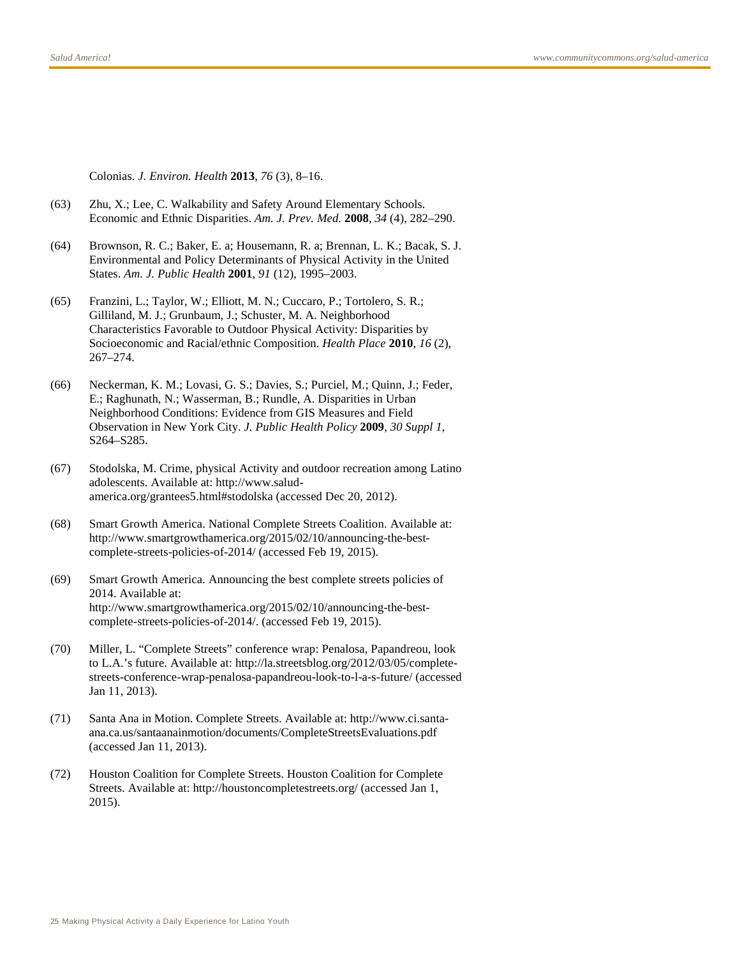Colonias. *J. Environ. Health* **2013**, *76* (3), 8–16.

- (63) Zhu, X.; Lee, C. Walkability and Safety Around Elementary Schools. Economic and Ethnic Disparities. *Am. J. Prev. Med.* **2008**, *34* (4), 282–290.
- (64) Brownson, R. C.; Baker, E. a; Housemann, R. a; Brennan, L. K.; Bacak, S. J. Environmental and Policy Determinants of Physical Activity in the United States. *Am. J. Public Health* **2001**, *91* (12), 1995–2003.
- (65) Franzini, L.; Taylor, W.; Elliott, M. N.; Cuccaro, P.; Tortolero, S. R.; Gilliland, M. J.; Grunbaum, J.; Schuster, M. A. Neighborhood Characteristics Favorable to Outdoor Physical Activity: Disparities by Socioeconomic and Racial/ethnic Composition. *Health Place* **2010**, *16* (2), 267–274.
- (66) Neckerman, K. M.; Lovasi, G. S.; Davies, S.; Purciel, M.; Quinn, J.; Feder, E.; Raghunath, N.; Wasserman, B.; Rundle, A. Disparities in Urban Neighborhood Conditions: Evidence from GIS Measures and Field Observation in New York City. *J. Public Health Policy* **2009**, *30 Suppl 1*, S264–S285.
- (67) Stodolska, M. Crime, physical Activity and outdoor recreation among Latino adolescents. Available at: http://www.saludamerica.org/grantees5.html#stodolska (accessed Dec 20, 2012).
- (68) Smart Growth America. National Complete Streets Coalition. Available at: http://www.smartgrowthamerica.org/2015/02/10/announcing-the-bestcomplete-streets-policies-of-2014/ (accessed Feb 19, 2015).
- (69) Smart Growth America. Announcing the best complete streets policies of 2014. Available at: http://www.smartgrowthamerica.org/2015/02/10/announcing-the-bestcomplete-streets-policies-of-2014/. (accessed Feb 19, 2015).
- (70) Miller, L. "Complete Streets" conference wrap: Penalosa, Papandreou, look to L.A.'s future. Available at: http://la.streetsblog.org/2012/03/05/completestreets-conference-wrap-penalosa-papandreou-look-to-l-a-s-future/ (accessed Jan 11, 2013).
- (71) Santa Ana in Motion. Complete Streets. Available at: http://www.ci.santaana.ca.us/santaanainmotion/documents/CompleteStreetsEvaluations.pdf (accessed Jan 11, 2013).
- (72) Houston Coalition for Complete Streets. Houston Coalition for Complete Streets. Available at: http://houstoncompletestreets.org/ (accessed Jan 1, 2015).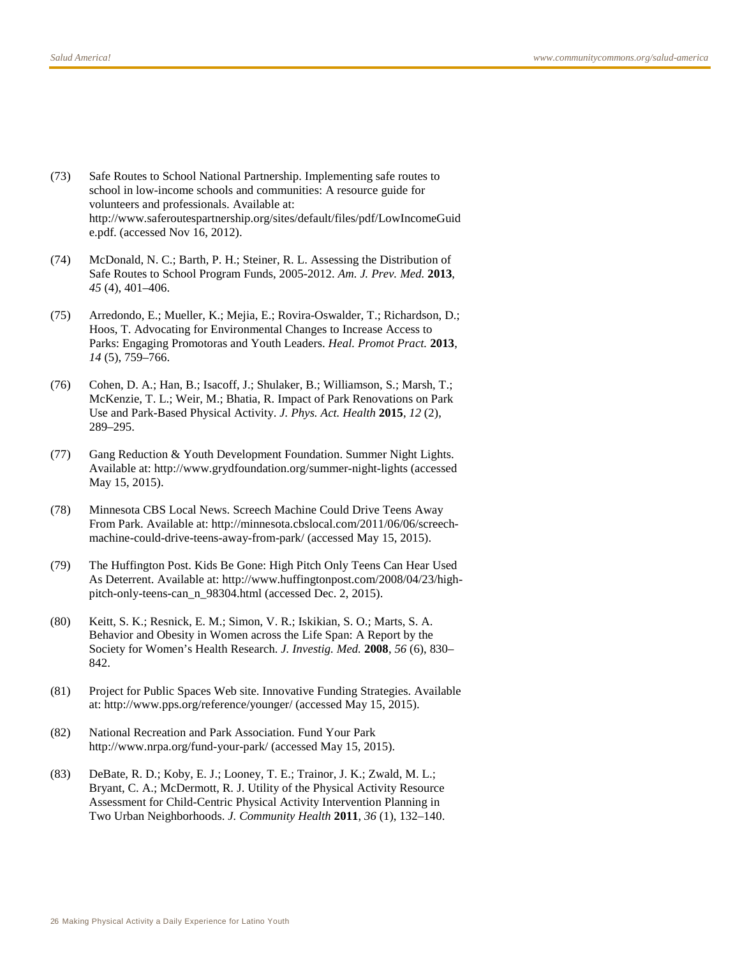- (73) Safe Routes to School National Partnership. Implementing safe routes to school in low-income schools and communities: A resource guide for volunteers and professionals. Available at: http://www.saferoutespartnership.org/sites/default/files/pdf/LowIncomeGuid e.pdf. (accessed Nov 16, 2012).
- (74) McDonald, N. C.; Barth, P. H.; Steiner, R. L. Assessing the Distribution of Safe Routes to School Program Funds, 2005-2012. *Am. J. Prev. Med.* **2013**, *45* (4), 401–406.
- (75) Arredondo, E.; Mueller, K.; Mejia, E.; Rovira-Oswalder, T.; Richardson, D.; Hoos, T. Advocating for Environmental Changes to Increase Access to Parks: Engaging Promotoras and Youth Leaders. *Heal. Promot Pract.* **2013**, *14* (5), 759–766.
- (76) Cohen, D. A.; Han, B.; Isacoff, J.; Shulaker, B.; Williamson, S.; Marsh, T.; McKenzie, T. L.; Weir, M.; Bhatia, R. Impact of Park Renovations on Park Use and Park-Based Physical Activity. *J. Phys. Act. Health* **2015**, *12* (2), 289–295.
- (77) Gang Reduction & Youth Development Foundation. Summer Night Lights. Available at: http://www.grydfoundation.org/summer-night-lights (accessed May 15, 2015).
- (78) Minnesota CBS Local News. Screech Machine Could Drive Teens Away From Park. Available at: http://minnesota.cbslocal.com/2011/06/06/screechmachine-could-drive-teens-away-from-park/ (accessed May 15, 2015).
- (79) The Huffington Post. Kids Be Gone: High Pitch Only Teens Can Hear Used As Deterrent. Available at: http://www.huffingtonpost.com/2008/04/23/highpitch-only-teens-can\_n\_98304.html (accessed Dec. 2, 2015).
- (80) Keitt, S. K.; Resnick, E. M.; Simon, V. R.; Iskikian, S. O.; Marts, S. A. Behavior and Obesity in Women across the Life Span: A Report by the Society for Women's Health Research. *J. Investig. Med.* **2008**, *56* (6), 830– 842.
- (81) Project for Public Spaces Web site. Innovative Funding Strategies. Available at: http://www.pps.org/reference/younger/ (accessed May 15, 2015).
- (82) National Recreation and Park Association. Fund Your Park http://www.nrpa.org/fund-your-park/ (accessed May 15, 2015).
- (83) DeBate, R. D.; Koby, E. J.; Looney, T. E.; Trainor, J. K.; Zwald, M. L.; Bryant, C. A.; McDermott, R. J. Utility of the Physical Activity Resource Assessment for Child-Centric Physical Activity Intervention Planning in Two Urban Neighborhoods. *J. Community Health* **2011**, *36* (1), 132–140.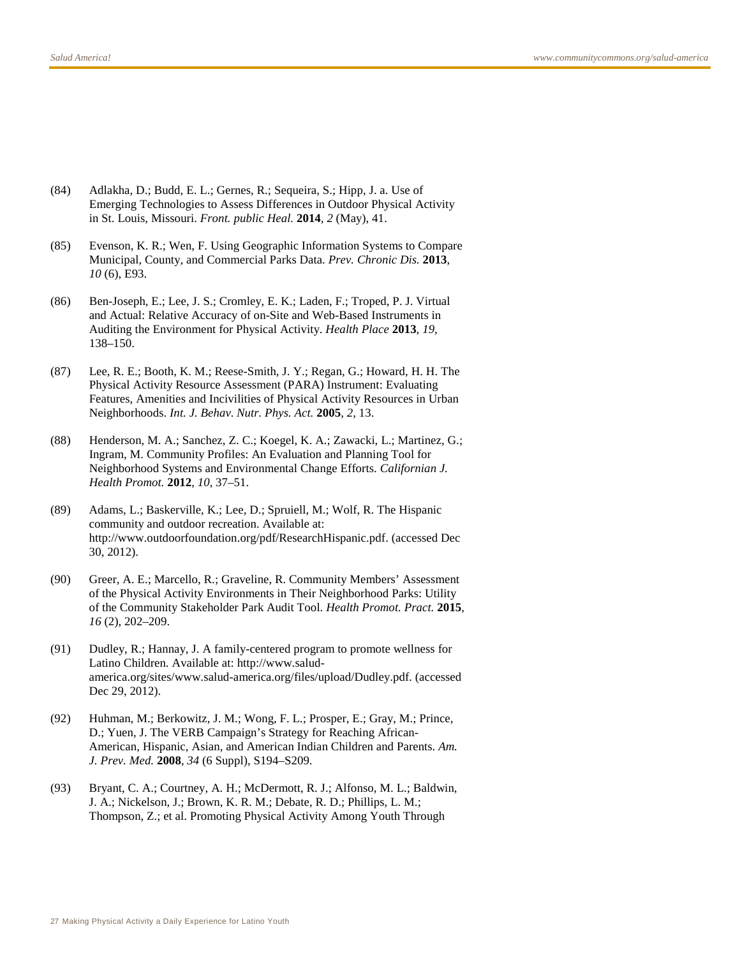- (84) Adlakha, D.; Budd, E. L.; Gernes, R.; Sequeira, S.; Hipp, J. a. Use of Emerging Technologies to Assess Differences in Outdoor Physical Activity in St. Louis, Missouri. *Front. public Heal.* **2014**, *2* (May), 41.
- (85) Evenson, K. R.; Wen, F. Using Geographic Information Systems to Compare Municipal, County, and Commercial Parks Data. *Prev. Chronic Dis.* **2013**, *10* (6), E93.
- (86) Ben-Joseph, E.; Lee, J. S.; Cromley, E. K.; Laden, F.; Troped, P. J. Virtual and Actual: Relative Accuracy of on-Site and Web-Based Instruments in Auditing the Environment for Physical Activity. *Health Place* **2013**, *19*, 138–150.
- (87) Lee, R. E.; Booth, K. M.; Reese-Smith, J. Y.; Regan, G.; Howard, H. H. The Physical Activity Resource Assessment (PARA) Instrument: Evaluating Features, Amenities and Incivilities of Physical Activity Resources in Urban Neighborhoods. *Int. J. Behav. Nutr. Phys. Act.* **2005**, *2*, 13.
- (88) Henderson, M. A.; Sanchez, Z. C.; Koegel, K. A.; Zawacki, L.; Martinez, G.; Ingram, M. Community Profiles: An Evaluation and Planning Tool for Neighborhood Systems and Environmental Change Efforts. *Californian J. Health Promot.* **2012**, *10*, 37–51.
- (89) Adams, L.; Baskerville, K.; Lee, D.; Spruiell, M.; Wolf, R. The Hispanic community and outdoor recreation. Available at: http://www.outdoorfoundation.org/pdf/ResearchHispanic.pdf. (accessed Dec 30, 2012).
- (90) Greer, A. E.; Marcello, R.; Graveline, R. Community Members' Assessment of the Physical Activity Environments in Their Neighborhood Parks: Utility of the Community Stakeholder Park Audit Tool. *Health Promot. Pract.* **2015**, *16* (2), 202–209.
- (91) Dudley, R.; Hannay, J. A family-centered program to promote wellness for Latino Children. Available at: http://www.saludamerica.org/sites/www.salud-america.org/files/upload/Dudley.pdf. (accessed Dec 29, 2012).
- (92) Huhman, M.; Berkowitz, J. M.; Wong, F. L.; Prosper, E.; Gray, M.; Prince, D.; Yuen, J. The VERB Campaign's Strategy for Reaching African-American, Hispanic, Asian, and American Indian Children and Parents. *Am. J. Prev. Med.* **2008**, *34* (6 Suppl), S194–S209.
- (93) Bryant, C. A.; Courtney, A. H.; McDermott, R. J.; Alfonso, M. L.; Baldwin, J. A.; Nickelson, J.; Brown, K. R. M.; Debate, R. D.; Phillips, L. M.; Thompson, Z.; et al. Promoting Physical Activity Among Youth Through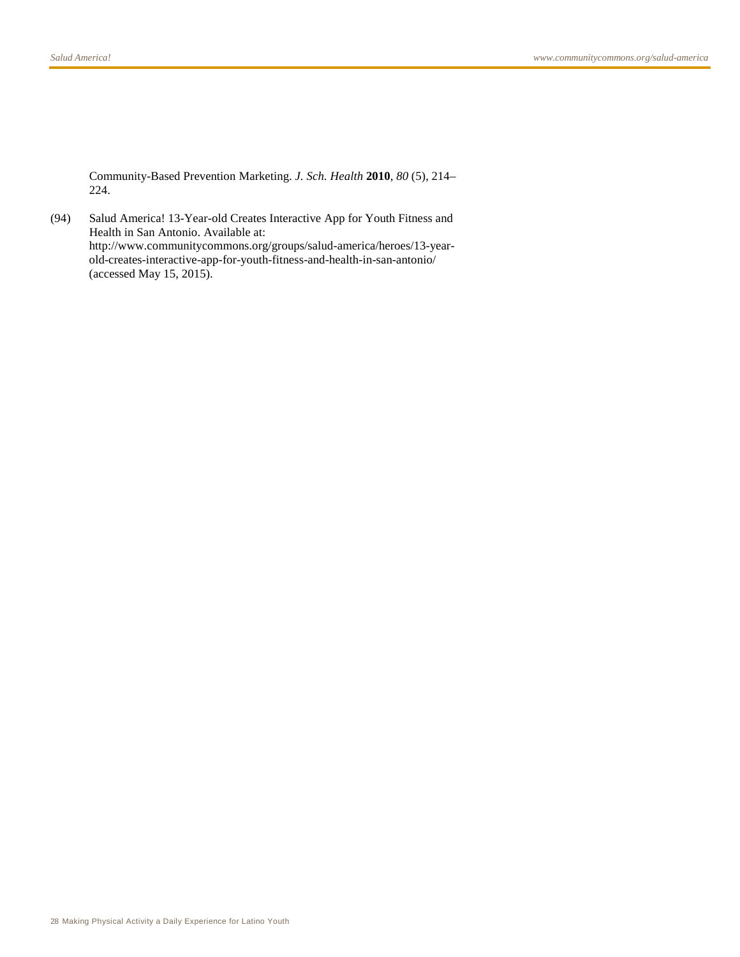Community-Based Prevention Marketing. *J. Sch. Health* **2010**, *80* (5), 214– 224.

(94) Salud America! 13-Year-old Creates Interactive App for Youth Fitness and Health in San Antonio. Available at: http://www.communitycommons.org/groups/salud-america/heroes/13-yearold-creates-interactive-app-for-youth-fitness-and-health-in-san-antonio/ (accessed May 15, 2015).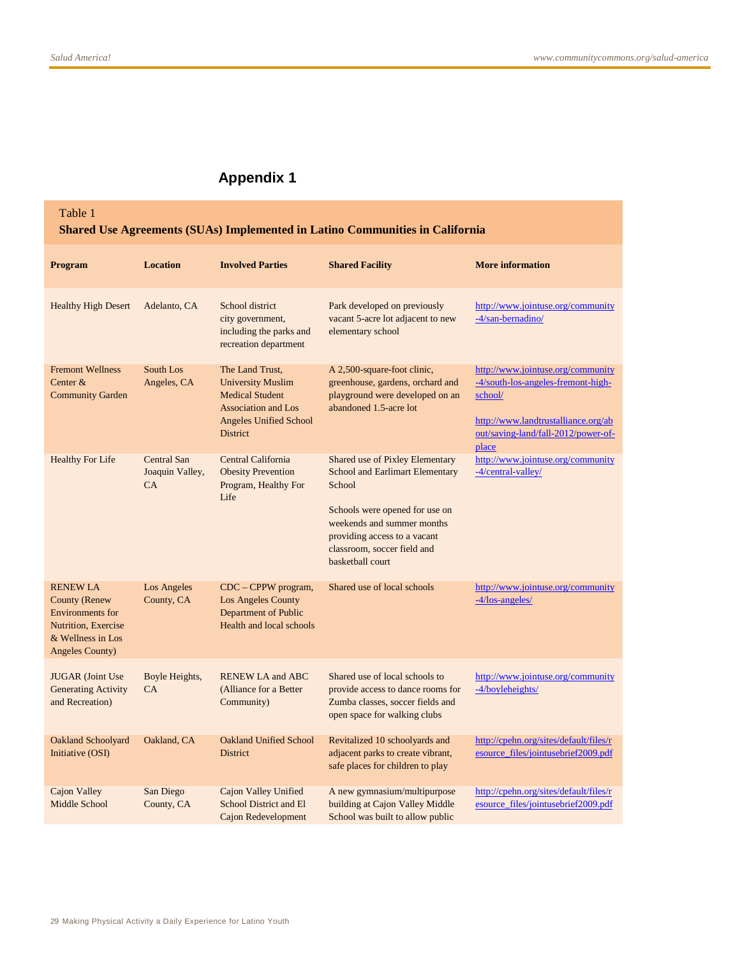# **Appendix 1**

# Table 1 **Shared Use Agreements (SUAs) Implemented in Latino Communities in California**

| Program                                                                                                                                         | <b>Location</b>                      | <b>Involved Parties</b>                                                                                                                                 | <b>Shared Facility</b>                                                                                                                                                                                                                 | <b>More information</b>                                                                                                                                                   |
|-------------------------------------------------------------------------------------------------------------------------------------------------|--------------------------------------|---------------------------------------------------------------------------------------------------------------------------------------------------------|----------------------------------------------------------------------------------------------------------------------------------------------------------------------------------------------------------------------------------------|---------------------------------------------------------------------------------------------------------------------------------------------------------------------------|
| <b>Healthy High Desert</b>                                                                                                                      | Adelanto, CA                         | School district<br>city government,<br>including the parks and<br>recreation department                                                                 | Park developed on previously<br>vacant 5-acre lot adjacent to new<br>elementary school                                                                                                                                                 | http://www.jointuse.org/community<br>-4/san-bernadino/                                                                                                                    |
| <b>Fremont Wellness</b><br>Center &<br><b>Community Garden</b>                                                                                  | South Los<br>Angeles, CA             | The Land Trust,<br><b>University Muslim</b><br><b>Medical Student</b><br><b>Association and Los</b><br><b>Angeles Unified School</b><br><b>District</b> | A 2,500-square-foot clinic,<br>greenhouse, gardens, orchard and<br>playground were developed on an<br>abandoned 1.5-acre lot                                                                                                           | http://www.jointuse.org/community<br>-4/south-los-angeles-fremont-high-<br>school/<br>http://www.landtrustalliance.org/ab<br>out/saving-land/fall-2012/power-of-<br>place |
| <b>Healthy For Life</b>                                                                                                                         | Central San<br>Joaquin Valley,<br>CA | Central California<br><b>Obesity Prevention</b><br>Program, Healthy For<br>Life                                                                         | Shared use of Pixley Elementary<br><b>School and Earlimart Elementary</b><br>School<br>Schools were opened for use on<br>weekends and summer months<br>providing access to a vacant<br>classroom, soccer field and<br>basketball court | http://www.jointuse.org/community<br>-4/central-valley/                                                                                                                   |
| <b>RENEW LA</b><br><b>County (Renew</b><br><b>Environments</b> for<br><b>Nutrition, Exercise</b><br>& Wellness in Los<br><b>Angeles County)</b> | Los Angeles<br>County, CA            | $CDC - CPPW$ program,<br>Los Angeles County<br>Department of Public<br>Health and local schools                                                         | Shared use of local schools                                                                                                                                                                                                            | http://www.jointuse.org/community<br>$-4/los-angeles/$                                                                                                                    |
| <b>JUGAR</b> (Joint Use<br><b>Generating Activity</b><br>and Recreation)                                                                        | Boyle Heights,<br>CA                 | <b>RENEW LA and ABC</b><br>(Alliance for a Better<br>Community)                                                                                         | Shared use of local schools to<br>provide access to dance rooms for<br>Zumba classes, soccer fields and<br>open space for walking clubs                                                                                                | http://www.jointuse.org/community<br>-4/boyleheights/                                                                                                                     |
| <b>Oakland Schoolyard</b><br>Initiative (OSI)                                                                                                   | Oakland, CA                          | <b>Oakland Unified School</b><br><b>District</b>                                                                                                        | Revitalized 10 schoolyards and<br>adjacent parks to create vibrant,<br>safe places for children to play                                                                                                                                | http://cpehn.org/sites/default/files/r<br>esource_files/jointusebrief2009.pdf                                                                                             |
| Cajon Valley<br>Middle School                                                                                                                   | San Diego<br>County, CA              | Cajon Valley Unified<br><b>School District and El</b><br><b>Cajon Redevelopment</b>                                                                     | A new gymnasium/multipurpose<br>building at Cajon Valley Middle<br>School was built to allow public                                                                                                                                    | http://cpehn.org/sites/default/files/r<br>esource_files/jointusebrief2009.pdf                                                                                             |